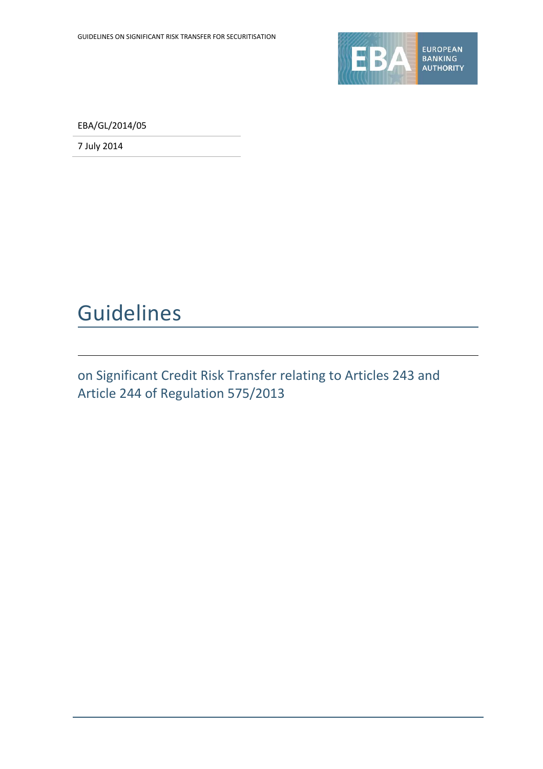

EBA/GL/2014/05

7 July 2014

## Guidelines

on Significant Credit Risk Transfer relating to Articles 243 and Article 244 of Regulation 575/2013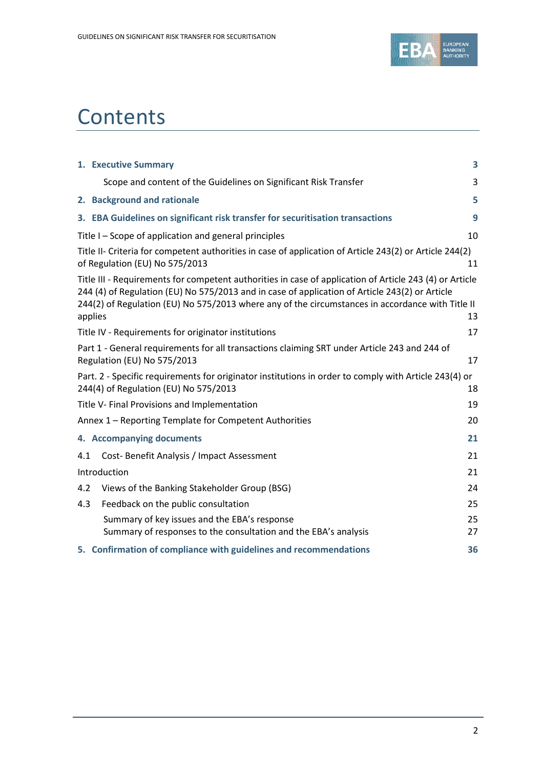

## **Contents**

|     | 1. Executive Summary                                                                                                                                                                                                                                                                                                     | 3        |
|-----|--------------------------------------------------------------------------------------------------------------------------------------------------------------------------------------------------------------------------------------------------------------------------------------------------------------------------|----------|
|     | Scope and content of the Guidelines on Significant Risk Transfer                                                                                                                                                                                                                                                         | 3        |
|     | 2. Background and rationale                                                                                                                                                                                                                                                                                              | 5        |
|     | 3. EBA Guidelines on significant risk transfer for securitisation transactions                                                                                                                                                                                                                                           | 9        |
|     | Title I – Scope of application and general principles                                                                                                                                                                                                                                                                    | 10       |
|     | Title II- Criteria for competent authorities in case of application of Article 243(2) or Article 244(2)<br>of Regulation (EU) No 575/2013                                                                                                                                                                                | 11       |
|     | Title III - Requirements for competent authorities in case of application of Article 243 (4) or Article<br>244 (4) of Regulation (EU) No 575/2013 and in case of application of Article 243(2) or Article<br>244(2) of Regulation (EU) No 575/2013 where any of the circumstances in accordance with Title II<br>applies | 13       |
|     | Title IV - Requirements for originator institutions                                                                                                                                                                                                                                                                      | 17       |
|     | Part 1 - General requirements for all transactions claiming SRT under Article 243 and 244 of<br>Regulation (EU) No 575/2013                                                                                                                                                                                              | 17       |
|     | Part. 2 - Specific requirements for originator institutions in order to comply with Article 243(4) or<br>244(4) of Regulation (EU) No 575/2013                                                                                                                                                                           | 18       |
|     | Title V- Final Provisions and Implementation                                                                                                                                                                                                                                                                             | 19       |
|     | Annex 1 - Reporting Template for Competent Authorities                                                                                                                                                                                                                                                                   | 20       |
|     | 4. Accompanying documents                                                                                                                                                                                                                                                                                                | 21       |
| 4.1 | Cost-Benefit Analysis / Impact Assessment                                                                                                                                                                                                                                                                                | 21       |
|     | Introduction                                                                                                                                                                                                                                                                                                             | 21       |
| 4.2 | Views of the Banking Stakeholder Group (BSG)                                                                                                                                                                                                                                                                             | 24       |
| 4.3 | Feedback on the public consultation                                                                                                                                                                                                                                                                                      | 25       |
|     | Summary of key issues and the EBA's response<br>Summary of responses to the consultation and the EBA's analysis                                                                                                                                                                                                          | 25<br>27 |
|     | 5. Confirmation of compliance with guidelines and recommendations                                                                                                                                                                                                                                                        | 36       |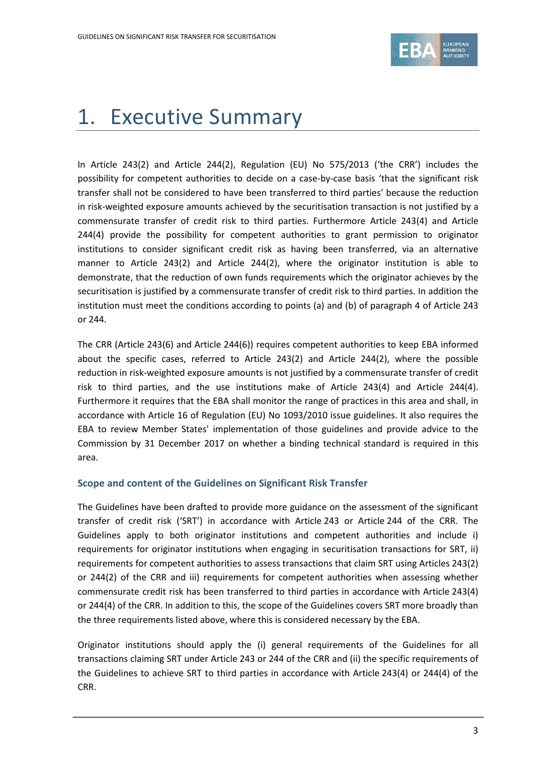

## 1. Executive Summary

In Article 243(2) and Article 244(2), Regulation (EU) No 575/2013 ('the CRR') includes the possibility for competent authorities to decide on a case-by-case basis 'that the significant risk transfer shall not be considered to have been transferred to third parties' because the reduction in risk-weighted exposure amounts achieved by the securitisation transaction is not justified by a commensurate transfer of credit risk to third parties. Furthermore Article 243(4) and Article 244(4) provide the possibility for competent authorities to grant permission to originator institutions to consider significant credit risk as having been transferred, via an alternative manner to Article 243(2) and Article 244(2), where the originator institution is able to demonstrate, that the reduction of own funds requirements which the originator achieves by the securitisation is justified by a commensurate transfer of credit risk to third parties. In addition the institution must meet the conditions according to points (a) and (b) of paragraph 4 of Article 243 or 244.

The CRR (Article 243(6) and Article 244(6)) requires competent authorities to keep EBA informed about the specific cases, referred to Article 243(2) and Article 244(2), where the possible reduction in risk-weighted exposure amounts is not justified by a commensurate transfer of credit risk to third parties, and the use institutions make of Article 243(4) and Article 244(4). Furthermore it requires that the EBA shall monitor the range of practices in this area and shall, in accordance with Article 16 of Regulation (EU) No 1093/2010 issue guidelines. It also requires the EBA to review Member States' implementation of those guidelines and provide advice to the Commission by 31 December 2017 on whether a binding technical standard is required in this area.

### **Scope and content of the Guidelines on Significant Risk Transfer**

The Guidelines have been drafted to provide more guidance on the assessment of the significant transfer of credit risk ('SRT') in accordance with Article 243 or Article 244 of the CRR. The Guidelines apply to both originator institutions and competent authorities and include i) requirements for originator institutions when engaging in securitisation transactions for SRT, ii) requirements for competent authorities to assess transactions that claim SRT using Articles 243(2) or 244(2) of the CRR and iii) requirements for competent authorities when assessing whether commensurate credit risk has been transferred to third parties in accordance with Article 243(4) or 244(4) of the CRR. In addition to this, the scope of the Guidelines covers SRT more broadly than the three requirements listed above, where this is considered necessary by the EBA.

Originator institutions should apply the (i) general requirements of the Guidelines for all transactions claiming SRT under Article 243 or 244 of the CRR and (ii) the specific requirements of the Guidelines to achieve SRT to third parties in accordance with Article 243(4) or 244(4) of the CRR.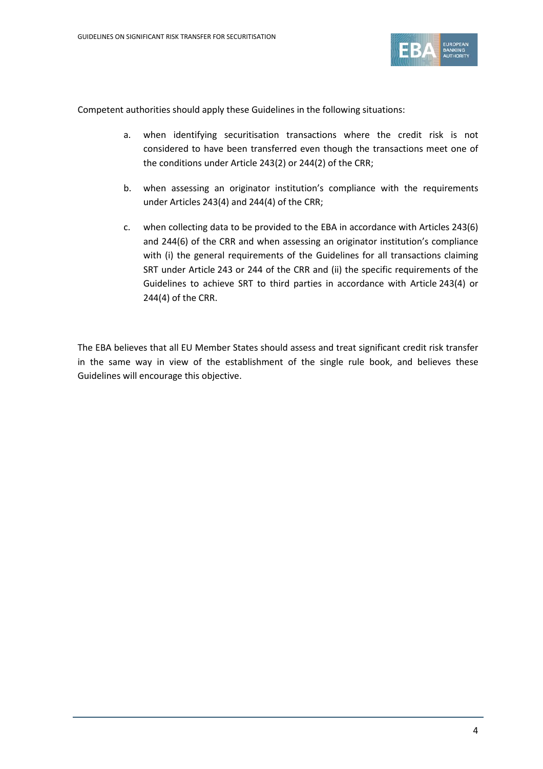

Competent authorities should apply these Guidelines in the following situations:

- a. when identifying securitisation transactions where the credit risk is not considered to have been transferred even though the transactions meet one of the conditions under Article 243(2) or 244(2) of the CRR;
- b. when assessing an originator institution's compliance with the requirements under Articles 243(4) and 244(4) of the CRR;
- c. when collecting data to be provided to the EBA in accordance with Articles 243(6) and 244(6) of the CRR and when assessing an originator institution's compliance with (i) the general requirements of the Guidelines for all transactions claiming SRT under Article 243 or 244 of the CRR and (ii) the specific requirements of the Guidelines to achieve SRT to third parties in accordance with Article 243(4) or 244(4) of the CRR.

The EBA believes that all EU Member States should assess and treat significant credit risk transfer in the same way in view of the establishment of the single rule book, and believes these Guidelines will encourage this objective.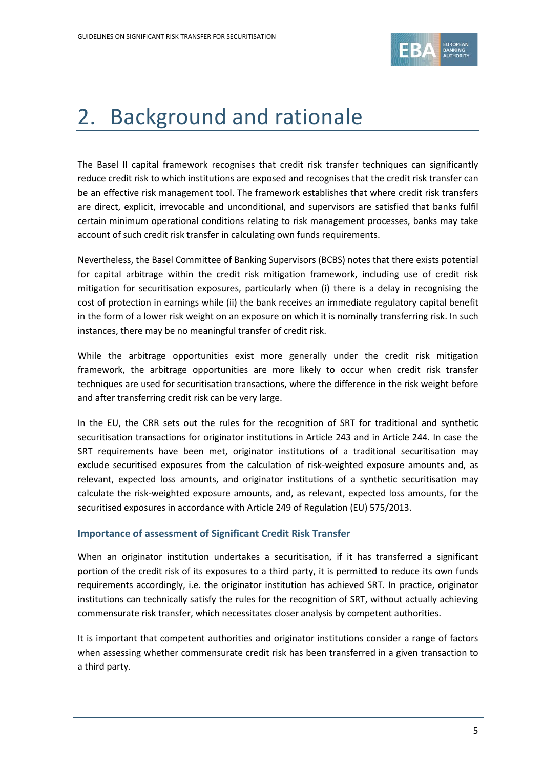

## 2. Background and rationale

The Basel II capital framework recognises that credit risk transfer techniques can significantly reduce credit risk to which institutions are exposed and recognises that the credit risk transfer can be an effective risk management tool. The framework establishes that where credit risk transfers are direct, explicit, irrevocable and unconditional, and supervisors are satisfied that banks fulfil certain minimum operational conditions relating to risk management processes, banks may take account of such credit risk transfer in calculating own funds requirements.

Nevertheless, the Basel Committee of Banking Supervisors (BCBS) notes that there exists potential for capital arbitrage within the credit risk mitigation framework, including use of credit risk mitigation for securitisation exposures, particularly when (i) there is a delay in recognising the cost of protection in earnings while (ii) the bank receives an immediate regulatory capital benefit in the form of a lower risk weight on an exposure on which it is nominally transferring risk. In such instances, there may be no meaningful transfer of credit risk.

While the arbitrage opportunities exist more generally under the credit risk mitigation framework, the arbitrage opportunities are more likely to occur when credit risk transfer techniques are used for securitisation transactions, where the difference in the risk weight before and after transferring credit risk can be very large.

In the EU, the CRR sets out the rules for the recognition of SRT for traditional and synthetic securitisation transactions for originator institutions in Article 243 and in Article 244. In case the SRT requirements have been met, originator institutions of a traditional securitisation may exclude securitised exposures from the calculation of risk-weighted exposure amounts and, as relevant, expected loss amounts, and originator institutions of a synthetic securitisation may calculate the risk-weighted exposure amounts, and, as relevant, expected loss amounts, for the securitised exposures in accordance with Article 249 of Regulation (EU) 575/2013.

### **Importance of assessment of Significant Credit Risk Transfer**

When an originator institution undertakes a securitisation, if it has transferred a significant portion of the credit risk of its exposures to a third party, it is permitted to reduce its own funds requirements accordingly, i.e. the originator institution has achieved SRT. In practice, originator institutions can technically satisfy the rules for the recognition of SRT, without actually achieving commensurate risk transfer, which necessitates closer analysis by competent authorities.

It is important that competent authorities and originator institutions consider a range of factors when assessing whether commensurate credit risk has been transferred in a given transaction to a third party.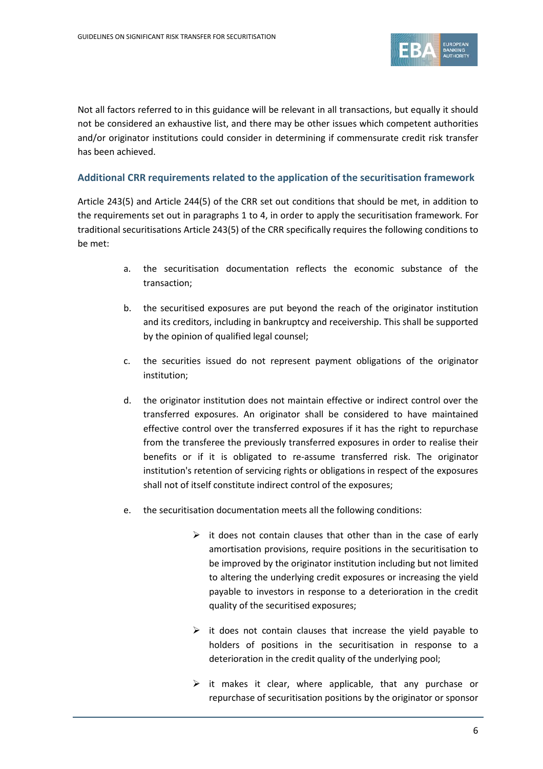

Not all factors referred to in this guidance will be relevant in all transactions, but equally it should not be considered an exhaustive list, and there may be other issues which competent authorities and/or originator institutions could consider in determining if commensurate credit risk transfer has been achieved.

#### **Additional CRR requirements related to the application of the securitisation framework**

Article 243(5) and Article 244(5) of the CRR set out conditions that should be met, in addition to the requirements set out in paragraphs 1 to 4, in order to apply the securitisation framework. For traditional securitisations Article 243(5) of the CRR specifically requires the following conditions to be met:

- a. the securitisation documentation reflects the economic substance of the transaction;
- b. the securitised exposures are put beyond the reach of the originator institution and its creditors, including in bankruptcy and receivership. This shall be supported by the opinion of qualified legal counsel;
- c. the securities issued do not represent payment obligations of the originator institution;
- d. the originator institution does not maintain effective or indirect control over the transferred exposures. An originator shall be considered to have maintained effective control over the transferred exposures if it has the right to repurchase from the transferee the previously transferred exposures in order to realise their benefits or if it is obligated to re-assume transferred risk. The originator institution's retention of servicing rights or obligations in respect of the exposures shall not of itself constitute indirect control of the exposures;
- e. the securitisation documentation meets all the following conditions:
	- $\triangleright$  it does not contain clauses that other than in the case of early amortisation provisions, require positions in the securitisation to be improved by the originator institution including but not limited to altering the underlying credit exposures or increasing the yield payable to investors in response to a deterioration in the credit quality of the securitised exposures;
	- $\triangleright$  it does not contain clauses that increase the yield payable to holders of positions in the securitisation in response to a deterioration in the credit quality of the underlying pool;
	- $\triangleright$  it makes it clear, where applicable, that any purchase or repurchase of securitisation positions by the originator or sponsor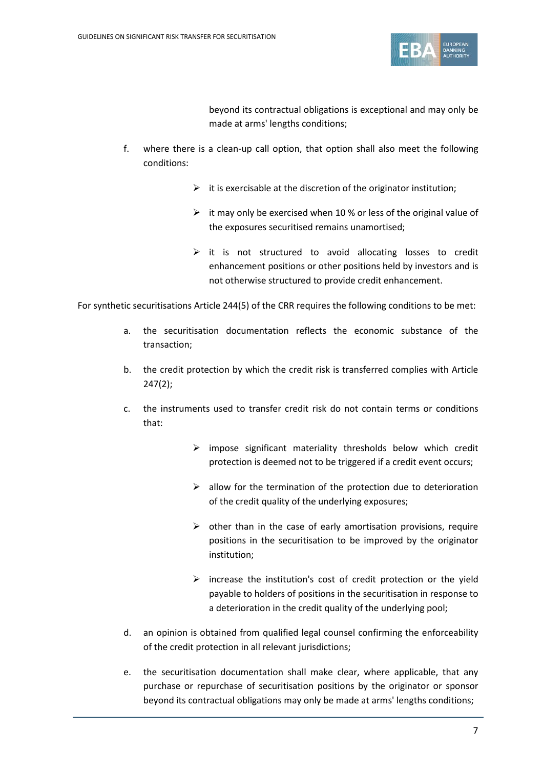

beyond its contractual obligations is exceptional and may only be made at arms' lengths conditions;

- f. where there is a clean-up call option, that option shall also meet the following conditions:
	- $\triangleright$  it is exercisable at the discretion of the originator institution;
	- $\triangleright$  it may only be exercised when 10 % or less of the original value of the exposures securitised remains unamortised;
	- $\triangleright$  it is not structured to avoid allocating losses to credit enhancement positions or other positions held by investors and is not otherwise structured to provide credit enhancement.

For synthetic securitisations Article 244(5) of the CRR requires the following conditions to be met:

- a. the securitisation documentation reflects the economic substance of the transaction;
- b. the credit protection by which the credit risk is transferred complies with Article 247(2);
- c. the instruments used to transfer credit risk do not contain terms or conditions that:
	- $\triangleright$  impose significant materiality thresholds below which credit protection is deemed not to be triggered if a credit event occurs;
	- $\triangleright$  allow for the termination of the protection due to deterioration of the credit quality of the underlying exposures;
	- $\triangleright$  other than in the case of early amortisation provisions, require positions in the securitisation to be improved by the originator institution;
	- $\triangleright$  increase the institution's cost of credit protection or the yield payable to holders of positions in the securitisation in response to a deterioration in the credit quality of the underlying pool;
- d. an opinion is obtained from qualified legal counsel confirming the enforceability of the credit protection in all relevant jurisdictions;
- e. the securitisation documentation shall make clear, where applicable, that any purchase or repurchase of securitisation positions by the originator or sponsor beyond its contractual obligations may only be made at arms' lengths conditions;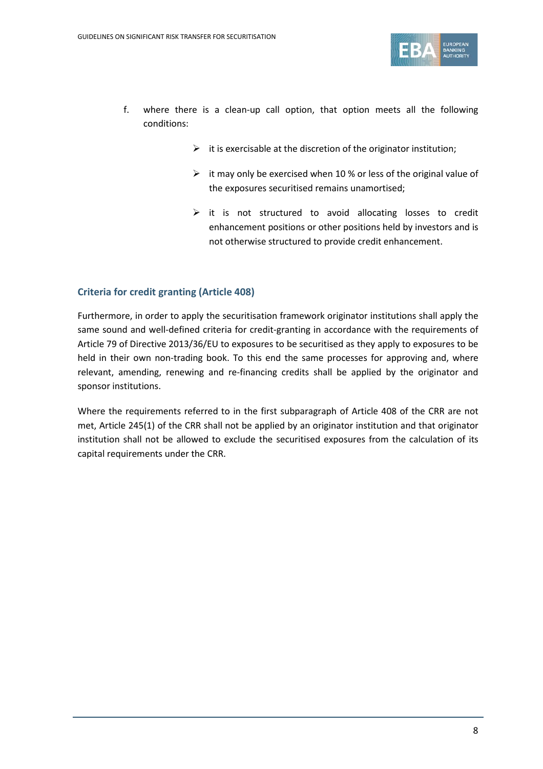

- f. where there is a clean-up call option, that option meets all the following conditions:
	- $\triangleright$  it is exercisable at the discretion of the originator institution;
	- $\triangleright$  it may only be exercised when 10 % or less of the original value of the exposures securitised remains unamortised;
	- $\triangleright$  it is not structured to avoid allocating losses to credit enhancement positions or other positions held by investors and is not otherwise structured to provide credit enhancement.

### **Criteria for credit granting (Article 408)**

Furthermore, in order to apply the securitisation framework originator institutions shall apply the same sound and well-defined criteria for credit-granting in accordance with the requirements of Article 79 of Directive 2013/36/EU to exposures to be securitised as they apply to exposures to be held in their own non-trading book. To this end the same processes for approving and, where relevant, amending, renewing and re-financing credits shall be applied by the originator and sponsor institutions.

Where the requirements referred to in the first subparagraph of Article 408 of the CRR are not met, Article 245(1) of the CRR shall not be applied by an originator institution and that originator institution shall not be allowed to exclude the securitised exposures from the calculation of its capital requirements under the CRR.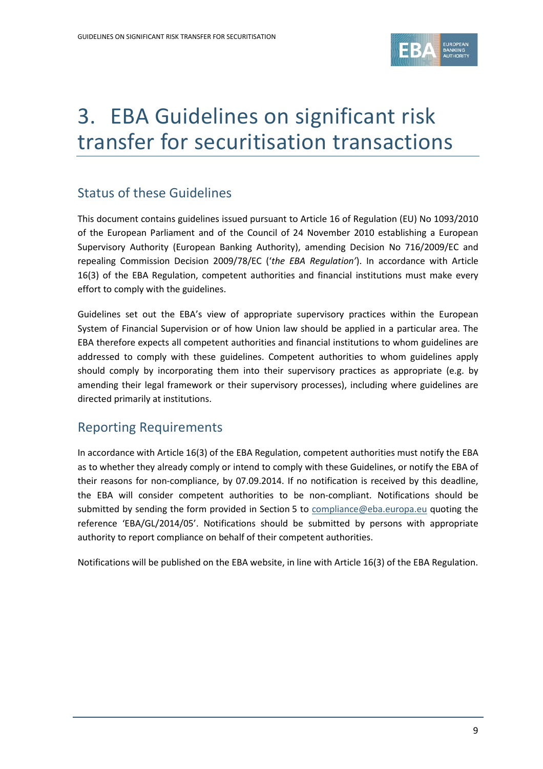

# 3. EBA Guidelines on significant risk transfer for securitisation transactions

### Status of these Guidelines

This document contains guidelines issued pursuant to Article 16 of Regulation (EU) No 1093/2010 of the European Parliament and of the Council of 24 November 2010 establishing a European Supervisory Authority (European Banking Authority), amending Decision No 716/2009/EC and repealing Commission Decision 2009/78/EC ('*the EBA Regulation'*). In accordance with Article 16(3) of the EBA Regulation, competent authorities and financial institutions must make every effort to comply with the guidelines.

Guidelines set out the EBA's view of appropriate supervisory practices within the European System of Financial Supervision or of how Union law should be applied in a particular area. The EBA therefore expects all competent authorities and financial institutions to whom guidelines are addressed to comply with these guidelines. Competent authorities to whom guidelines apply should comply by incorporating them into their supervisory practices as appropriate (e.g. by amending their legal framework or their supervisory processes), including where guidelines are directed primarily at institutions.

### Reporting Requirements

In accordance with Article 16(3) of the EBA Regulation, competent authorities must notify the EBA as to whether they already comply or intend to comply with these Guidelines, or notify the EBA of their reasons for non-compliance, by 07.09.2014. If no notification is received by this deadline, the EBA will consider competent authorities to be non-compliant. Notifications should be submitted by sending the form provided in Section 5 to [compliance@eba.europa.eu](mailto:compliance@eba.europa.eu) quoting the reference 'EBA/GL/2014/05'. Notifications should be submitted by persons with appropriate authority to report compliance on behalf of their competent authorities.

Notifications will be published on the EBA website, in line with Article 16(3) of the EBA Regulation.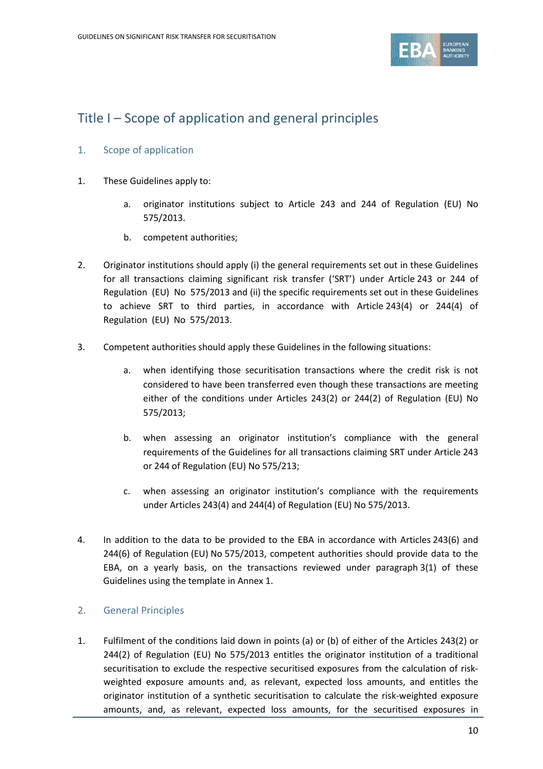

### Title I – Scope of application and general principles

### 1. Scope of application

- 1. These Guidelines apply to:
	- a. originator institutions subject to Article 243 and 244 of Regulation (EU) No 575/2013.
	- b. competent authorities;
- 2. Originator institutions should apply (i) the general requirements set out in these Guidelines for all transactions claiming significant risk transfer ('SRT') under Article 243 or 244 of Regulation (EU) No 575/2013 and (ii) the specific requirements set out in these Guidelines to achieve SRT to third parties, in accordance with Article 243(4) or 244(4) of Regulation (EU) No 575/2013.
- 3. Competent authorities should apply these Guidelines in the following situations:
	- a. when identifying those securitisation transactions where the credit risk is not considered to have been transferred even though these transactions are meeting either of the conditions under Articles 243(2) or 244(2) of Regulation (EU) No 575/2013;
	- b. when assessing an originator institution's compliance with the general requirements of the Guidelines for all transactions claiming SRT under Article 243 or 244 of Regulation (EU) No 575/213;
	- c. when assessing an originator institution's compliance with the requirements under Articles 243(4) and 244(4) of Regulation (EU) No 575/2013.
- 4. In addition to the data to be provided to the EBA in accordance with Articles 243(6) and 244(6) of Regulation (EU) No 575/2013, competent authorities should provide data to the EBA, on a yearly basis, on the transactions reviewed under paragraph 3(1) of these Guidelines using the template in Annex 1.

### 2. General Principles

1. Fulfilment of the conditions laid down in points (a) or (b) of either of the Articles 243(2) or 244(2) of Regulation (EU) No 575/2013 entitles the originator institution of a traditional securitisation to exclude the respective securitised exposures from the calculation of riskweighted exposure amounts and, as relevant, expected loss amounts, and entitles the originator institution of a synthetic securitisation to calculate the risk-weighted exposure amounts, and, as relevant, expected loss amounts, for the securitised exposures in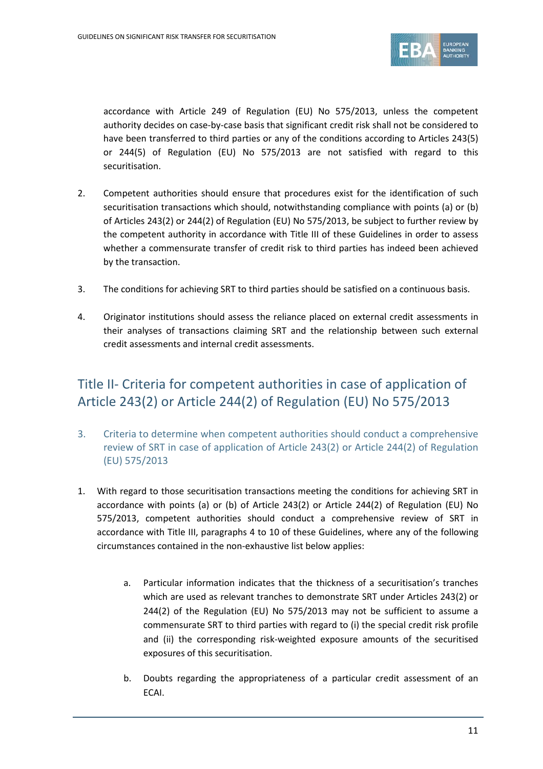

accordance with Article 249 of Regulation (EU) No 575/2013, unless the competent authority decides on case-by-case basis that significant credit risk shall not be considered to have been transferred to third parties or any of the conditions according to Articles 243(5) or 244(5) of Regulation (EU) No 575/2013 are not satisfied with regard to this securitisation.

- 2. Competent authorities should ensure that procedures exist for the identification of such securitisation transactions which should, notwithstanding compliance with points (a) or (b) of Articles 243(2) or 244(2) of Regulation (EU) No 575/2013, be subject to further review by the competent authority in accordance with Title III of these Guidelines in order to assess whether a commensurate transfer of credit risk to third parties has indeed been achieved by the transaction.
- 3. The conditions for achieving SRT to third parties should be satisfied on a continuous basis.
- 4. Originator institutions should assess the reliance placed on external credit assessments in their analyses of transactions claiming SRT and the relationship between such external credit assessments and internal credit assessments.

## Title II- Criteria for competent authorities in case of application of Article 243(2) or Article 244(2) of Regulation (EU) No 575/2013

- 3. Criteria to determine when competent authorities should conduct a comprehensive review of SRT in case of application of Article 243(2) or Article 244(2) of Regulation (EU) 575/2013
- 1. With regard to those securitisation transactions meeting the conditions for achieving SRT in accordance with points (a) or (b) of Article 243(2) or Article 244(2) of Regulation (EU) No 575/2013, competent authorities should conduct a comprehensive review of SRT in accordance with Title III, paragraphs 4 to 10 of these Guidelines, where any of the following circumstances contained in the non-exhaustive list below applies:
	- a. Particular information indicates that the thickness of a securitisation's tranches which are used as relevant tranches to demonstrate SRT under Articles 243(2) or 244(2) of the Regulation (EU) No 575/2013 may not be sufficient to assume a commensurate SRT to third parties with regard to (i) the special credit risk profile and (ii) the corresponding risk-weighted exposure amounts of the securitised exposures of this securitisation.
	- b. Doubts regarding the appropriateness of a particular credit assessment of an ECAI.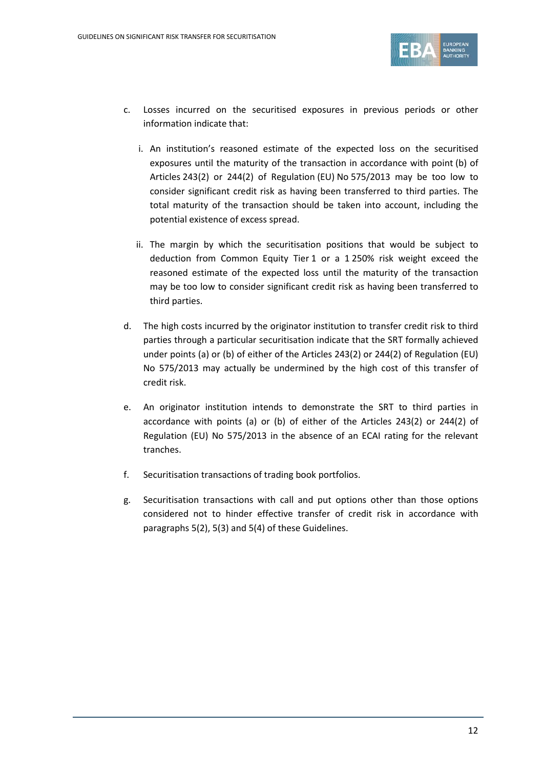

- c. Losses incurred on the securitised exposures in previous periods or other information indicate that:
	- i. An institution's reasoned estimate of the expected loss on the securitised exposures until the maturity of the transaction in accordance with point (b) of Articles 243(2) or 244(2) of Regulation (EU) No 575/2013 may be too low to consider significant credit risk as having been transferred to third parties. The total maturity of the transaction should be taken into account, including the potential existence of excess spread.
	- ii. The margin by which the securitisation positions that would be subject to deduction from Common Equity Tier 1 or a 1 250% risk weight exceed the reasoned estimate of the expected loss until the maturity of the transaction may be too low to consider significant credit risk as having been transferred to third parties.
- d. The high costs incurred by the originator institution to transfer credit risk to third parties through a particular securitisation indicate that the SRT formally achieved under points (a) or (b) of either of the Articles 243(2) or 244(2) of Regulation (EU) No 575/2013 may actually be undermined by the high cost of this transfer of credit risk.
- e. An originator institution intends to demonstrate the SRT to third parties in accordance with points (a) or (b) of either of the Articles 243(2) or 244(2) of Regulation (EU) No 575/2013 in the absence of an ECAI rating for the relevant tranches.
- f. Securitisation transactions of trading book portfolios.
- g. Securitisation transactions with call and put options other than those options considered not to hinder effective transfer of credit risk in accordance with paragraphs 5(2), 5(3) and 5(4) of these Guidelines.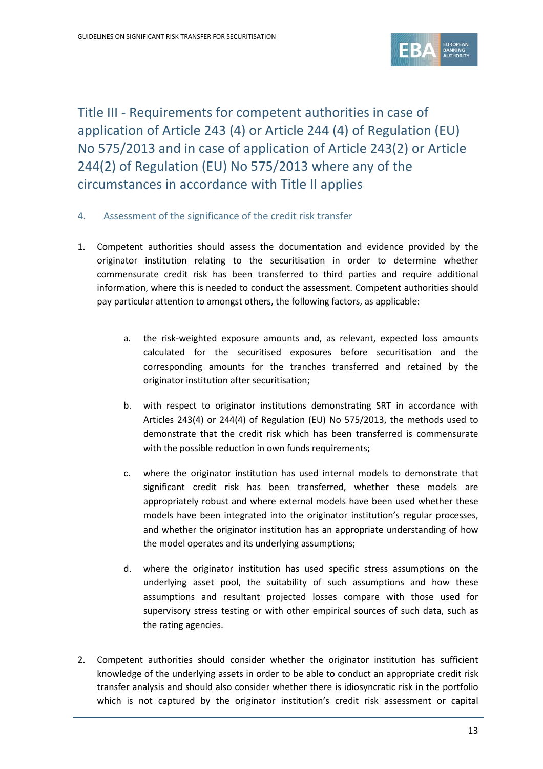

Title III - Requirements for competent authorities in case of application of Article 243 (4) or Article 244 (4) of Regulation (EU) No 575/2013 and in case of application of Article 243(2) or Article 244(2) of Regulation (EU) No 575/2013 where any of the circumstances in accordance with Title II applies

- 4. Assessment of the significance of the credit risk transfer
- 1. Competent authorities should assess the documentation and evidence provided by the originator institution relating to the securitisation in order to determine whether commensurate credit risk has been transferred to third parties and require additional information, where this is needed to conduct the assessment. Competent authorities should pay particular attention to amongst others, the following factors, as applicable:
	- a. the risk-weighted exposure amounts and, as relevant, expected loss amounts calculated for the securitised exposures before securitisation and the corresponding amounts for the tranches transferred and retained by the originator institution after securitisation;
	- b. with respect to originator institutions demonstrating SRT in accordance with Articles 243(4) or 244(4) of Regulation (EU) No 575/2013, the methods used to demonstrate that the credit risk which has been transferred is commensurate with the possible reduction in own funds requirements;
	- c. where the originator institution has used internal models to demonstrate that significant credit risk has been transferred, whether these models are appropriately robust and where external models have been used whether these models have been integrated into the originator institution's regular processes, and whether the originator institution has an appropriate understanding of how the model operates and its underlying assumptions;
	- d. where the originator institution has used specific stress assumptions on the underlying asset pool, the suitability of such assumptions and how these assumptions and resultant projected losses compare with those used for supervisory stress testing or with other empirical sources of such data, such as the rating agencies.
- 2. Competent authorities should consider whether the originator institution has sufficient knowledge of the underlying assets in order to be able to conduct an appropriate credit risk transfer analysis and should also consider whether there is idiosyncratic risk in the portfolio which is not captured by the originator institution's credit risk assessment or capital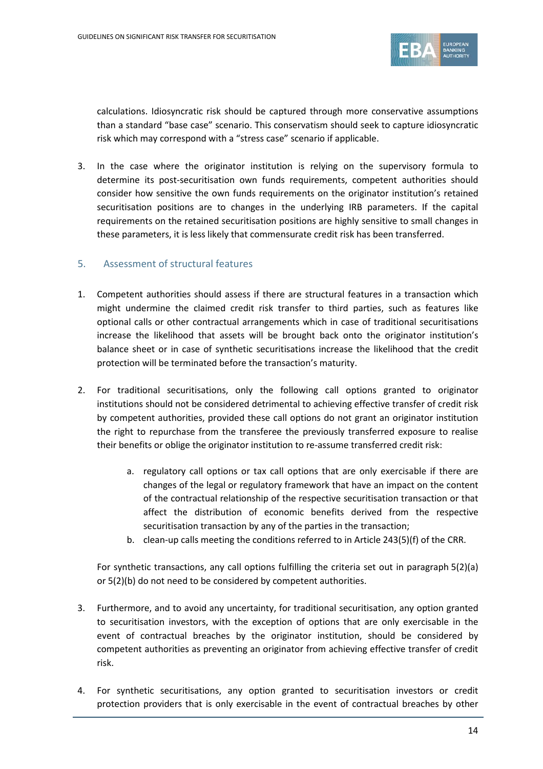

calculations. Idiosyncratic risk should be captured through more conservative assumptions than a standard "base case" scenario. This conservatism should seek to capture idiosyncratic risk which may correspond with a "stress case" scenario if applicable.

3. In the case where the originator institution is relying on the supervisory formula to determine its post-securitisation own funds requirements, competent authorities should consider how sensitive the own funds requirements on the originator institution's retained securitisation positions are to changes in the underlying IRB parameters. If the capital requirements on the retained securitisation positions are highly sensitive to small changes in these parameters, it is less likely that commensurate credit risk has been transferred.

### 5. Assessment of structural features

- 1. Competent authorities should assess if there are structural features in a transaction which might undermine the claimed credit risk transfer to third parties, such as features like optional calls or other contractual arrangements which in case of traditional securitisations increase the likelihood that assets will be brought back onto the originator institution's balance sheet or in case of synthetic securitisations increase the likelihood that the credit protection will be terminated before the transaction's maturity.
- 2. For traditional securitisations, only the following call options granted to originator institutions should not be considered detrimental to achieving effective transfer of credit risk by competent authorities, provided these call options do not grant an originator institution the right to repurchase from the transferee the previously transferred exposure to realise their benefits or oblige the originator institution to re-assume transferred credit risk:
	- a. regulatory call options or tax call options that are only exercisable if there are changes of the legal or regulatory framework that have an impact on the content of the contractual relationship of the respective securitisation transaction or that affect the distribution of economic benefits derived from the respective securitisation transaction by any of the parties in the transaction;
	- b. clean-up calls meeting the conditions referred to in Article 243(5)(f) of the CRR.

For synthetic transactions, any call options fulfilling the criteria set out in paragraph 5(2)(a) or 5(2)(b) do not need to be considered by competent authorities.

- 3. Furthermore, and to avoid any uncertainty, for traditional securitisation, any option granted to securitisation investors, with the exception of options that are only exercisable in the event of contractual breaches by the originator institution, should be considered by competent authorities as preventing an originator from achieving effective transfer of credit risk.
- 4. For synthetic securitisations, any option granted to securitisation investors or credit protection providers that is only exercisable in the event of contractual breaches by other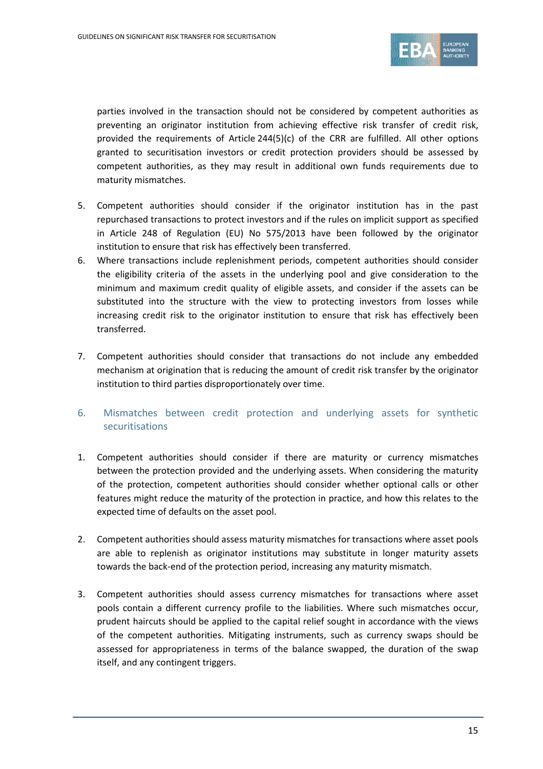

parties involved in the transaction should not be considered by competent authorities as preventing an originator institution from achieving effective risk transfer of credit risk, provided the requirements of Article  $244(5)(c)$  of the CRR are fulfilled. All other options granted to securitisation investors or credit protection providers should be assessed by competent authorities, as they may result in additional own funds requirements due to maturity mismatches.

- 5. Competent authorities should consider if the originator institution has in the past repurchased transactions to protect investors and if the rules on implicit support as specified in Article 248 of Regulation (EU) No 575/2013 have been followed by the originator institution to ensure that risk has effectively been transferred.
- 6. Where transactions include replenishment periods, competent authorities should consider the eligibility criteria of the assets in the underlying pool and give consideration to the minimum and maximum credit quality of eligible assets, and consider if the assets can be substituted into the structure with the view to protecting investors from losses while increasing credit risk to the originator institution to ensure that risk has effectively been transferred.
- 7. Competent authorities should consider that transactions do not include any embedded mechanism at origination that is reducing the amount of credit risk transfer by the originator institution to third parties disproportionately over time.

### 6. Mismatches between credit protection and underlying assets for synthetic securitisations

- 1. Competent authorities should consider if there are maturity or currency mismatches between the protection provided and the underlying assets. When considering the maturity of the protection, competent authorities should consider whether optional calls or other features might reduce the maturity of the protection in practice, and how this relates to the expected time of defaults on the asset pool.
- 2. Competent authorities should assess maturity mismatches for transactions where asset pools are able to replenish as originator institutions may substitute in longer maturity assets towards the back-end of the protection period, increasing any maturity mismatch.
- 3. Competent authorities should assess currency mismatches for transactions where asset pools contain a different currency profile to the liabilities. Where such mismatches occur, prudent haircuts should be applied to the capital relief sought in accordance with the views of the competent authorities. Mitigating instruments, such as currency swaps should be assessed for appropriateness in terms of the balance swapped, the duration of the swap itself, and any contingent triggers.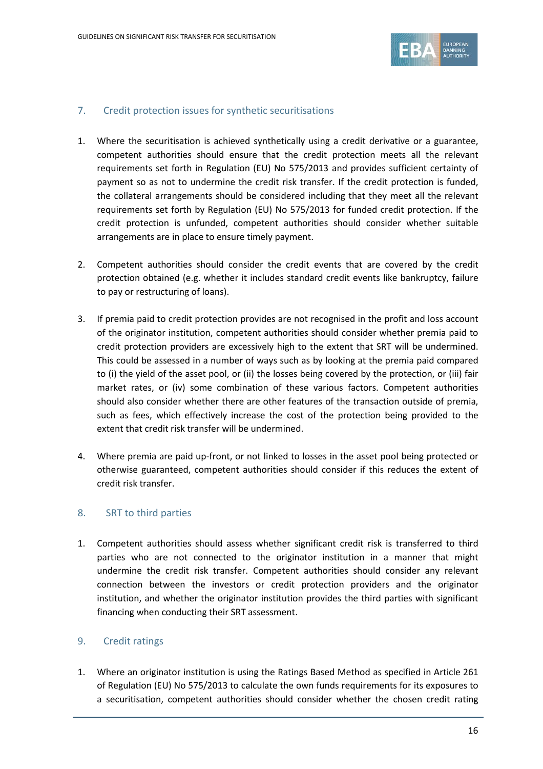

#### 7. Credit protection issues for synthetic securitisations

- 1. Where the securitisation is achieved synthetically using a credit derivative or a guarantee, competent authorities should ensure that the credit protection meets all the relevant requirements set forth in Regulation (EU) No 575/2013 and provides sufficient certainty of payment so as not to undermine the credit risk transfer. If the credit protection is funded, the collateral arrangements should be considered including that they meet all the relevant requirements set forth by Regulation (EU) No 575/2013 for funded credit protection. If the credit protection is unfunded, competent authorities should consider whether suitable arrangements are in place to ensure timely payment.
- 2. Competent authorities should consider the credit events that are covered by the credit protection obtained (e.g. whether it includes standard credit events like bankruptcy, failure to pay or restructuring of loans).
- 3. If premia paid to credit protection provides are not recognised in the profit and loss account of the originator institution, competent authorities should consider whether premia paid to credit protection providers are excessively high to the extent that SRT will be undermined. This could be assessed in a number of ways such as by looking at the premia paid compared to (i) the yield of the asset pool, or (ii) the losses being covered by the protection, or (iii) fair market rates, or (iv) some combination of these various factors. Competent authorities should also consider whether there are other features of the transaction outside of premia, such as fees, which effectively increase the cost of the protection being provided to the extent that credit risk transfer will be undermined.
- 4. Where premia are paid up-front, or not linked to losses in the asset pool being protected or otherwise guaranteed, competent authorities should consider if this reduces the extent of credit risk transfer.

#### 8. SRT to third parties

1. Competent authorities should assess whether significant credit risk is transferred to third parties who are not connected to the originator institution in a manner that might undermine the credit risk transfer. Competent authorities should consider any relevant connection between the investors or credit protection providers and the originator institution, and whether the originator institution provides the third parties with significant financing when conducting their SRT assessment.

### 9. Credit ratings

1. Where an originator institution is using the Ratings Based Method as specified in Article 261 of Regulation (EU) No 575/2013 to calculate the own funds requirements for its exposures to a securitisation, competent authorities should consider whether the chosen credit rating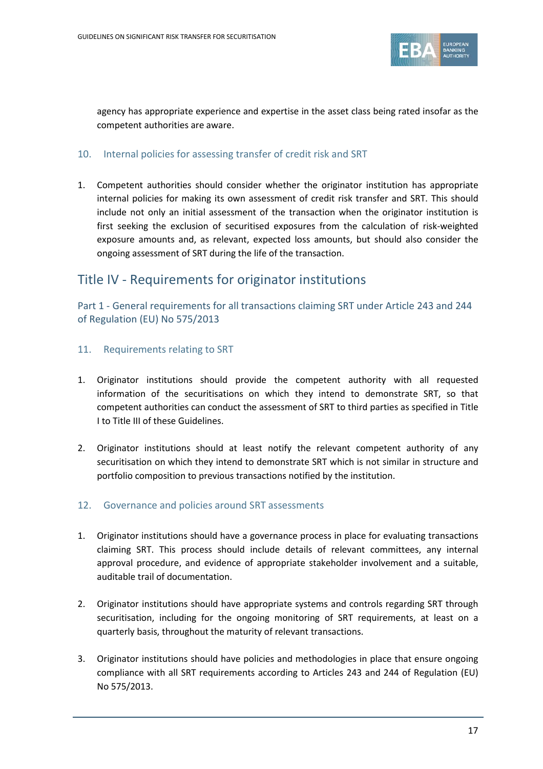

agency has appropriate experience and expertise in the asset class being rated insofar as the competent authorities are aware.

### 10. Internal policies for assessing transfer of credit risk and SRT

1. Competent authorities should consider whether the originator institution has appropriate internal policies for making its own assessment of credit risk transfer and SRT. This should include not only an initial assessment of the transaction when the originator institution is first seeking the exclusion of securitised exposures from the calculation of risk-weighted exposure amounts and, as relevant, expected loss amounts, but should also consider the ongoing assessment of SRT during the life of the transaction.

### Title IV - Requirements for originator institutions

Part 1 - General requirements for all transactions claiming SRT under Article 243 and 244 of Regulation (EU) No 575/2013

- 11. Requirements relating to SRT
- 1. Originator institutions should provide the competent authority with all requested information of the securitisations on which they intend to demonstrate SRT, so that competent authorities can conduct the assessment of SRT to third parties as specified in Title I to Title III of these Guidelines.
- 2. Originator institutions should at least notify the relevant competent authority of any securitisation on which they intend to demonstrate SRT which is not similar in structure and portfolio composition to previous transactions notified by the institution.

### 12. Governance and policies around SRT assessments

- 1. Originator institutions should have a governance process in place for evaluating transactions claiming SRT. This process should include details of relevant committees, any internal approval procedure, and evidence of appropriate stakeholder involvement and a suitable, auditable trail of documentation.
- 2. Originator institutions should have appropriate systems and controls regarding SRT through securitisation, including for the ongoing monitoring of SRT requirements, at least on a quarterly basis, throughout the maturity of relevant transactions.
- 3. Originator institutions should have policies and methodologies in place that ensure ongoing compliance with all SRT requirements according to Articles 243 and 244 of Regulation (EU) No 575/2013.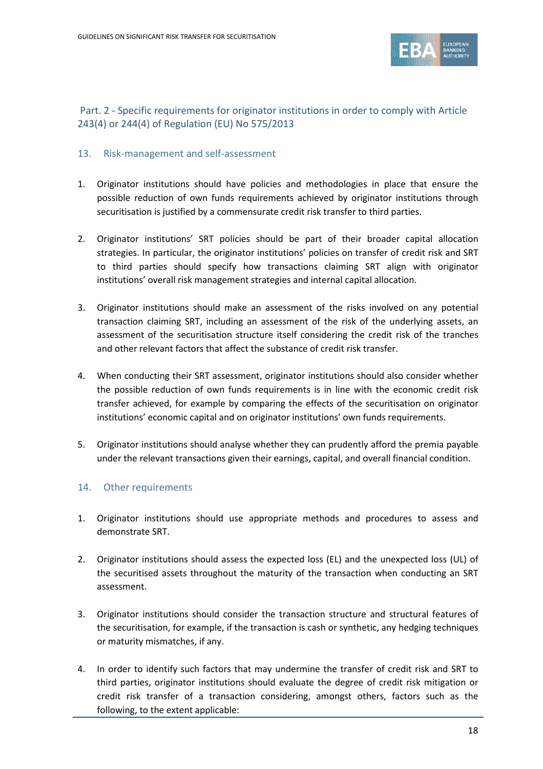

### Part. 2 - Specific requirements for originator institutions in order to comply with Article 243(4) or 244(4) of Regulation (EU) No 575/2013

### 13. Risk-management and self-assessment

- 1. Originator institutions should have policies and methodologies in place that ensure the possible reduction of own funds requirements achieved by originator institutions through securitisation is justified by a commensurate credit risk transfer to third parties.
- 2. Originator institutions' SRT policies should be part of their broader capital allocation strategies. In particular, the originator institutions' policies on transfer of credit risk and SRT to third parties should specify how transactions claiming SRT align with originator institutions' overall risk management strategies and internal capital allocation.
- 3. Originator institutions should make an assessment of the risks involved on any potential transaction claiming SRT, including an assessment of the risk of the underlying assets, an assessment of the securitisation structure itself considering the credit risk of the tranches and other relevant factors that affect the substance of credit risk transfer.
- 4. When conducting their SRT assessment, originator institutions should also consider whether the possible reduction of own funds requirements is in line with the economic credit risk transfer achieved, for example by comparing the effects of the securitisation on originator institutions' economic capital and on originator institutions' own funds requirements.
- 5. Originator institutions should analyse whether they can prudently afford the premia payable under the relevant transactions given their earnings, capital, and overall financial condition.

### 14. Other requirements

- 1. Originator institutions should use appropriate methods and procedures to assess and demonstrate SRT.
- 2. Originator institutions should assess the expected loss (EL) and the unexpected loss (UL) of the securitised assets throughout the maturity of the transaction when conducting an SRT assessment.
- 3. Originator institutions should consider the transaction structure and structural features of the securitisation, for example, if the transaction is cash or synthetic, any hedging techniques or maturity mismatches, if any.
- 4. In order to identify such factors that may undermine the transfer of credit risk and SRT to third parties, originator institutions should evaluate the degree of credit risk mitigation or credit risk transfer of a transaction considering, amongst others, factors such as the following, to the extent applicable: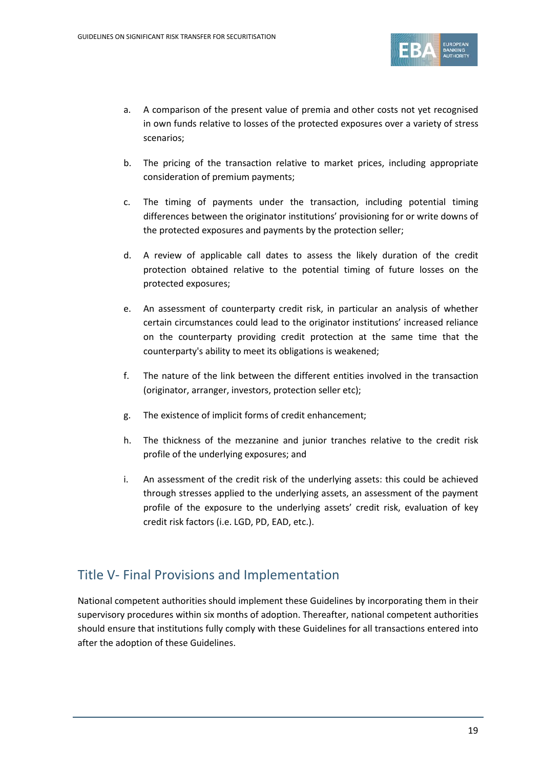

- a. A comparison of the present value of premia and other costs not yet recognised in own funds relative to losses of the protected exposures over a variety of stress scenarios;
- b. The pricing of the transaction relative to market prices, including appropriate consideration of premium payments;
- c. The timing of payments under the transaction, including potential timing differences between the originator institutions' provisioning for or write downs of the protected exposures and payments by the protection seller;
- d. A review of applicable call dates to assess the likely duration of the credit protection obtained relative to the potential timing of future losses on the protected exposures;
- e. An assessment of counterparty credit risk, in particular an analysis of whether certain circumstances could lead to the originator institutions' increased reliance on the counterparty providing credit protection at the same time that the counterparty's ability to meet its obligations is weakened;
- f. The nature of the link between the different entities involved in the transaction (originator, arranger, investors, protection seller etc);
- g. The existence of implicit forms of credit enhancement;
- h. The thickness of the mezzanine and junior tranches relative to the credit risk profile of the underlying exposures; and
- i. An assessment of the credit risk of the underlying assets: this could be achieved through stresses applied to the underlying assets, an assessment of the payment profile of the exposure to the underlying assets' credit risk, evaluation of key credit risk factors (i.e. LGD, PD, EAD, etc.).

### Title V- Final Provisions and Implementation

National competent authorities should implement these Guidelines by incorporating them in their supervisory procedures within six months of adoption. Thereafter, national competent authorities should ensure that institutions fully comply with these Guidelines for all transactions entered into after the adoption of these Guidelines.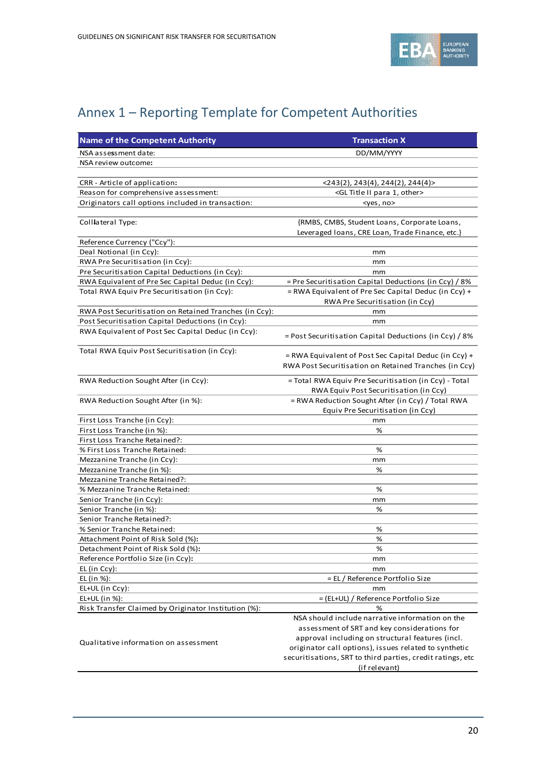

## Annex 1 – Reporting Template for Competent Authorities

| <b>Name of the Competent Authority</b>                 | <b>Transaction X</b>                                       |
|--------------------------------------------------------|------------------------------------------------------------|
| NSA assessment date:                                   | DD/MM/YYYY                                                 |
| NSA review outcome:                                    |                                                            |
|                                                        |                                                            |
| CRR - Article of application:                          | <243(2), 243(4), 244(2), 244(4)>                           |
| Reason for comprehensive assessment:                   | <gl 1,="" ii="" other="" para="" title=""></gl>            |
| Originators call options included in transaction:      | <yes, no=""></yes,>                                        |
|                                                        |                                                            |
| Colllateral Type:                                      | {RMBS, CMBS, Student Loans, Corporate Loans,               |
|                                                        | Leveraged Ioans, CRE Loan, Trade Finance, etc.}            |
| Reference Currency ("Ccy"):                            |                                                            |
| Deal Notional (in Ccy):                                | mm                                                         |
| RWA Pre Securitisation (in Ccy):                       | mm                                                         |
| Pre Securitisation Capital Deductions (in Ccy):        | mm                                                         |
| RWA Equivalent of Pre Sec Capital Deduc (in Ccy):      | = Pre Securitisation Capital Deductions (in Ccy) / 8%      |
| Total RWA Equiv Pre Securitisation (in Ccy):           | = RWA Equivalent of Pre Sec Capital Deduc (in Ccy) +       |
|                                                        | RWA Pre Securitisation (in Ccy)                            |
| RWA Post Securitisation on Retained Tranches (in Ccy): | mm                                                         |
| Post Securitisation Capital Deductions (in Ccy):       | mm                                                         |
| RWA Equivalent of Post Sec Capital Deduc (in Ccy):     |                                                            |
|                                                        | = Post Securitisation Capital Deductions (in Ccy) / 8%     |
| Total RWA Equiv Post Securitisation (in Ccy):          |                                                            |
|                                                        | $=$ RWA Equivalent of Post Sec Capital Deduc (in Ccy) +    |
|                                                        | RWA Post Securitisation on Retained Tranches (in Ccy)      |
| RWA Reduction Sought After (in Ccy):                   | = Total RWA Equiv Pre Securitisation (in Ccy) - Total      |
|                                                        | RWA Equiv Post Securitisation (in Ccy)                     |
| RWA Reduction Sought After (in %):                     | = RWA Reduction Sought After (in Ccy) / Total RWA          |
|                                                        | Equiv Pre Securitisation (in Ccy)                          |
| First Loss Tranche (in Ccy):                           | mm                                                         |
| First Loss Tranche (in %):                             | %                                                          |
| First Loss Tranche Retained?:                          |                                                            |
| % First Loss Tranche Retained:                         | %                                                          |
| Mezzanine Tranche (in Ccy):                            | mm                                                         |
| Mezzanine Tranche (in %):                              | %                                                          |
| Mezzanine Tranche Retained?:                           |                                                            |
| % Mezzanine Tranche Retained:                          | %                                                          |
| Senior Tranche (in Ccy):                               | mm                                                         |
| Senior Tranche (in %):                                 | %                                                          |
| Senior Tranche Retained?:                              |                                                            |
| % Senior Tranche Retained:                             | %                                                          |
| Attachment Point of Risk Sold (%):                     | %                                                          |
| Detachment Point of Risk Sold (%):                     | %                                                          |
| Reference Portfolio Size (in Ccy):                     | mm                                                         |
| EL (in Ccy):                                           | mm                                                         |
| EL (in %):                                             | = EL / Reference Portfolio Size                            |
| EL+UL (in Ccy):                                        | mm                                                         |
| EL+UL (in %):                                          | = (EL+UL) / Reference Portfolio Size                       |
| Risk Transfer Claimed by Originator Institution (%):   | %                                                          |
|                                                        | NSA should include narrative information on the            |
|                                                        | assessment of SRT and key considerations for               |
|                                                        | approval including on structural features (incl.           |
| Qualitative information on assessment                  | originator call options), issues related to synthetic      |
|                                                        | securitisations, SRT to third parties, credit ratings, etc |
|                                                        | (if relevant)                                              |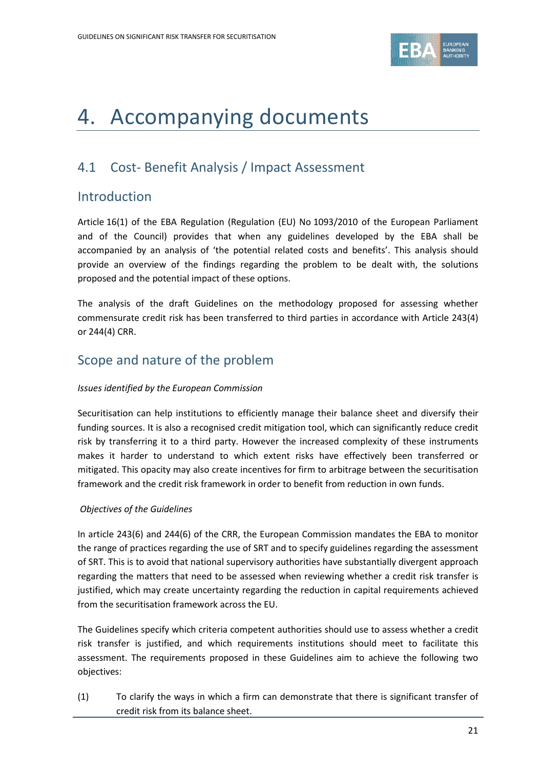

## 4. Accompanying documents

### 4.1 Cost- Benefit Analysis / Impact Assessment

### Introduction

Article 16(1) of the EBA Regulation (Regulation (EU) No 1093/2010 of the European Parliament and of the Council) provides that when any guidelines developed by the EBA shall be accompanied by an analysis of 'the potential related costs and benefits'. This analysis should provide an overview of the findings regarding the problem to be dealt with, the solutions proposed and the potential impact of these options.

The analysis of the draft Guidelines on the methodology proposed for assessing whether commensurate credit risk has been transferred to third parties in accordance with Article 243(4) or 244(4) CRR.

### Scope and nature of the problem

### *Issues identified by the European Commission*

Securitisation can help institutions to efficiently manage their balance sheet and diversify their funding sources. It is also a recognised credit mitigation tool, which can significantly reduce credit risk by transferring it to a third party. However the increased complexity of these instruments makes it harder to understand to which extent risks have effectively been transferred or mitigated. This opacity may also create incentives for firm to arbitrage between the securitisation framework and the credit risk framework in order to benefit from reduction in own funds.

### *Objectives of the Guidelines*

In article 243(6) and 244(6) of the CRR, the European Commission mandates the EBA to monitor the range of practices regarding the use of SRT and to specify guidelines regarding the assessment of SRT. This is to avoid that national supervisory authorities have substantially divergent approach regarding the matters that need to be assessed when reviewing whether a credit risk transfer is justified, which may create uncertainty regarding the reduction in capital requirements achieved from the securitisation framework across the EU.

The Guidelines specify which criteria competent authorities should use to assess whether a credit risk transfer is justified, and which requirements institutions should meet to facilitate this assessment. The requirements proposed in these Guidelines aim to achieve the following two objectives:

(1) To clarify the ways in which a firm can demonstrate that there is significant transfer of credit risk from its balance sheet.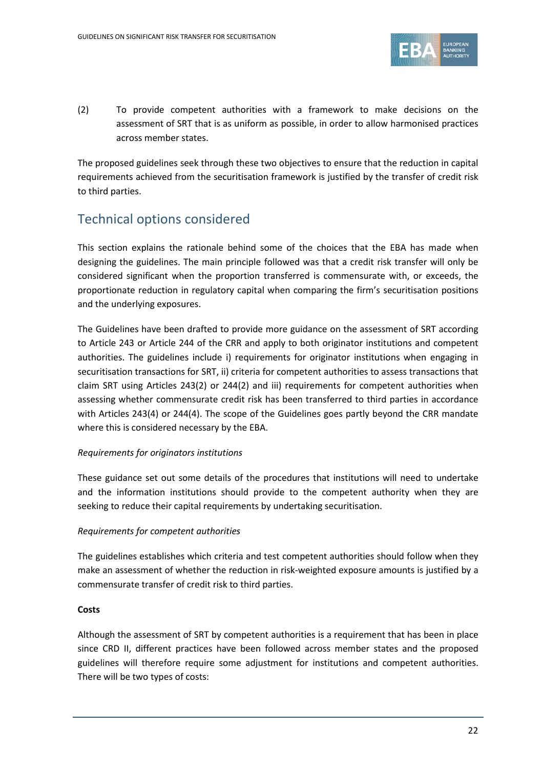

(2) To provide competent authorities with a framework to make decisions on the assessment of SRT that is as uniform as possible, in order to allow harmonised practices across member states.

The proposed guidelines seek through these two objectives to ensure that the reduction in capital requirements achieved from the securitisation framework is justified by the transfer of credit risk to third parties.

### Technical options considered

This section explains the rationale behind some of the choices that the EBA has made when designing the guidelines. The main principle followed was that a credit risk transfer will only be considered significant when the proportion transferred is commensurate with, or exceeds, the proportionate reduction in regulatory capital when comparing the firm's securitisation positions and the underlying exposures.

The Guidelines have been drafted to provide more guidance on the assessment of SRT according to Article 243 or Article 244 of the CRR and apply to both originator institutions and competent authorities. The guidelines include i) requirements for originator institutions when engaging in securitisation transactions for SRT, ii) criteria for competent authorities to assess transactions that claim SRT using Articles 243(2) or 244(2) and iii) requirements for competent authorities when assessing whether commensurate credit risk has been transferred to third parties in accordance with Articles 243(4) or 244(4). The scope of the Guidelines goes partly beyond the CRR mandate where this is considered necessary by the EBA.

### *Requirements for originators institutions*

These guidance set out some details of the procedures that institutions will need to undertake and the information institutions should provide to the competent authority when they are seeking to reduce their capital requirements by undertaking securitisation.

### *Requirements for competent authorities*

The guidelines establishes which criteria and test competent authorities should follow when they make an assessment of whether the reduction in risk-weighted exposure amounts is justified by a commensurate transfer of credit risk to third parties.

### **Costs**

Although the assessment of SRT by competent authorities is a requirement that has been in place since CRD II, different practices have been followed across member states and the proposed guidelines will therefore require some adjustment for institutions and competent authorities. There will be two types of costs: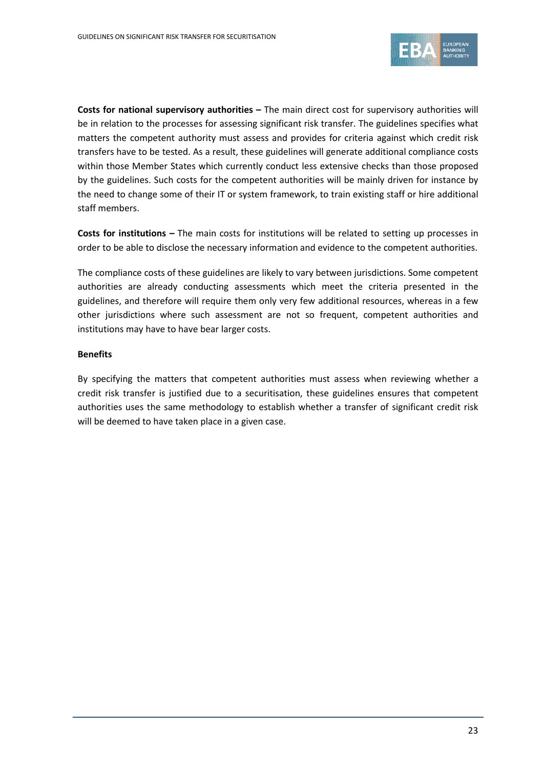

**Costs for national supervisory authorities –** The main direct cost for supervisory authorities will be in relation to the processes for assessing significant risk transfer. The guidelines specifies what matters the competent authority must assess and provides for criteria against which credit risk transfers have to be tested. As a result, these guidelines will generate additional compliance costs within those Member States which currently conduct less extensive checks than those proposed by the guidelines. Such costs for the competent authorities will be mainly driven for instance by the need to change some of their IT or system framework, to train existing staff or hire additional staff members.

**Costs for institutions –** The main costs for institutions will be related to setting up processes in order to be able to disclose the necessary information and evidence to the competent authorities.

The compliance costs of these guidelines are likely to vary between jurisdictions. Some competent authorities are already conducting assessments which meet the criteria presented in the guidelines, and therefore will require them only very few additional resources, whereas in a few other jurisdictions where such assessment are not so frequent, competent authorities and institutions may have to have bear larger costs.

#### **Benefits**

By specifying the matters that competent authorities must assess when reviewing whether a credit risk transfer is justified due to a securitisation, these guidelines ensures that competent authorities uses the same methodology to establish whether a transfer of significant credit risk will be deemed to have taken place in a given case.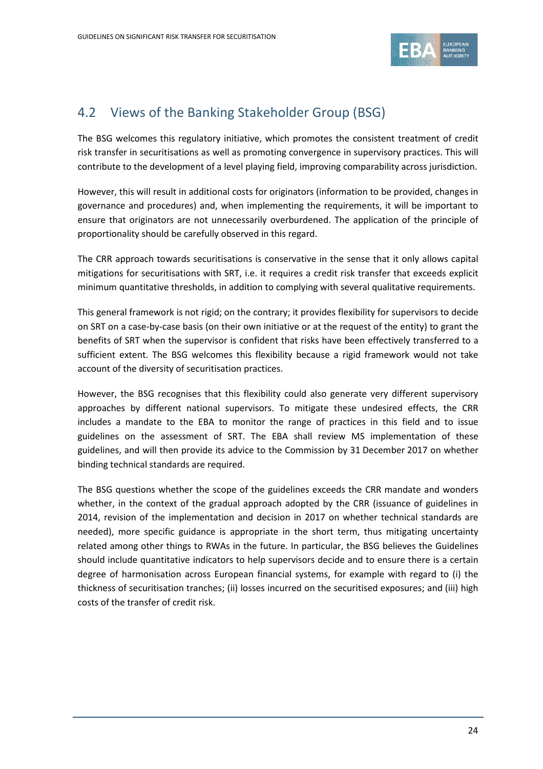

### 4.2 Views of the Banking Stakeholder Group (BSG)

The BSG welcomes this regulatory initiative, which promotes the consistent treatment of credit risk transfer in securitisations as well as promoting convergence in supervisory practices. This will contribute to the development of a level playing field, improving comparability across jurisdiction.

However, this will result in additional costs for originators (information to be provided, changes in governance and procedures) and, when implementing the requirements, it will be important to ensure that originators are not unnecessarily overburdened. The application of the principle of proportionality should be carefully observed in this regard.

The CRR approach towards securitisations is conservative in the sense that it only allows capital mitigations for securitisations with SRT, i.e. it requires a credit risk transfer that exceeds explicit minimum quantitative thresholds, in addition to complying with several qualitative requirements.

This general framework is not rigid; on the contrary; it provides flexibility for supervisors to decide on SRT on a case-by-case basis (on their own initiative or at the request of the entity) to grant the benefits of SRT when the supervisor is confident that risks have been effectively transferred to a sufficient extent. The BSG welcomes this flexibility because a rigid framework would not take account of the diversity of securitisation practices.

However, the BSG recognises that this flexibility could also generate very different supervisory approaches by different national supervisors. To mitigate these undesired effects, the CRR includes a mandate to the EBA to monitor the range of practices in this field and to issue guidelines on the assessment of SRT. The EBA shall review MS implementation of these guidelines, and will then provide its advice to the Commission by 31 December 2017 on whether binding technical standards are required.

The BSG questions whether the scope of the guidelines exceeds the CRR mandate and wonders whether, in the context of the gradual approach adopted by the CRR (issuance of guidelines in 2014, revision of the implementation and decision in 2017 on whether technical standards are needed), more specific guidance is appropriate in the short term, thus mitigating uncertainty related among other things to RWAs in the future. In particular, the BSG believes the Guidelines should include quantitative indicators to help supervisors decide and to ensure there is a certain degree of harmonisation across European financial systems, for example with regard to (i) the thickness of securitisation tranches; (ii) losses incurred on the securitised exposures; and (iii) high costs of the transfer of credit risk.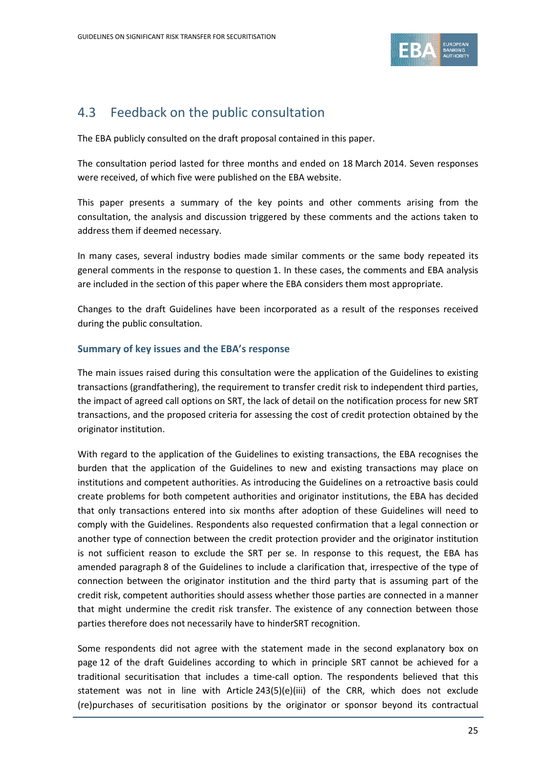

### 4.3 Feedback on the public consultation

The EBA publicly consulted on the draft proposal contained in this paper.

The consultation period lasted for three months and ended on 18 March 2014. Seven responses were received, of which five were published on the EBA website.

This paper presents a summary of the key points and other comments arising from the consultation, the analysis and discussion triggered by these comments and the actions taken to address them if deemed necessary.

In many cases, several industry bodies made similar comments or the same body repeated its general comments in the response to question 1. In these cases, the comments and EBA analysis are included in the section of this paper where the EBA considers them most appropriate.

Changes to the draft Guidelines have been incorporated as a result of the responses received during the public consultation.

### **Summary of key issues and the EBA's response**

The main issues raised during this consultation were the application of the Guidelines to existing transactions (grandfathering), the requirement to transfer credit risk to independent third parties, the impact of agreed call options on SRT, the lack of detail on the notification process for new SRT transactions, and the proposed criteria for assessing the cost of credit protection obtained by the originator institution.

With regard to the application of the Guidelines to existing transactions, the EBA recognises the burden that the application of the Guidelines to new and existing transactions may place on institutions and competent authorities. As introducing the Guidelines on a retroactive basis could create problems for both competent authorities and originator institutions, the EBA has decided that only transactions entered into six months after adoption of these Guidelines will need to comply with the Guidelines. Respondents also requested confirmation that a legal connection or another type of connection between the credit protection provider and the originator institution is not sufficient reason to exclude the SRT per se. In response to this request, the EBA has amended paragraph 8 of the Guidelines to include a clarification that, irrespective of the type of connection between the originator institution and the third party that is assuming part of the credit risk, competent authorities should assess whether those parties are connected in a manner that might undermine the credit risk transfer. The existence of any connection between those parties therefore does not necessarily have to hinderSRT recognition.

Some respondents did not agree with the statement made in the second explanatory box on page 12 of the draft Guidelines according to which in principle SRT cannot be achieved for a traditional securitisation that includes a time-call option. The respondents believed that this statement was not in line with Article  $243(5)(e)(iii)$  of the CRR, which does not exclude (re)purchases of securitisation positions by the originator or sponsor beyond its contractual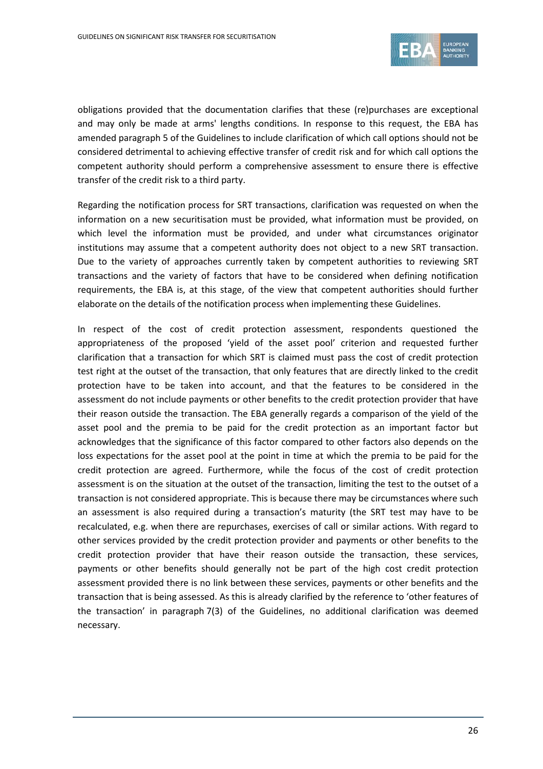

obligations provided that the documentation clarifies that these (re)purchases are exceptional and may only be made at arms' lengths conditions. In response to this request, the EBA has amended paragraph 5 of the Guidelines to include clarification of which call options should not be considered detrimental to achieving effective transfer of credit risk and for which call options the competent authority should perform a comprehensive assessment to ensure there is effective transfer of the credit risk to a third party.

Regarding the notification process for SRT transactions, clarification was requested on when the information on a new securitisation must be provided, what information must be provided, on which level the information must be provided, and under what circumstances originator institutions may assume that a competent authority does not object to a new SRT transaction. Due to the variety of approaches currently taken by competent authorities to reviewing SRT transactions and the variety of factors that have to be considered when defining notification requirements, the EBA is, at this stage, of the view that competent authorities should further elaborate on the details of the notification process when implementing these Guidelines.

In respect of the cost of credit protection assessment, respondents questioned the appropriateness of the proposed 'yield of the asset pool' criterion and requested further clarification that a transaction for which SRT is claimed must pass the cost of credit protection test right at the outset of the transaction, that only features that are directly linked to the credit protection have to be taken into account, and that the features to be considered in the assessment do not include payments or other benefits to the credit protection provider that have their reason outside the transaction. The EBA generally regards a comparison of the yield of the asset pool and the premia to be paid for the credit protection as an important factor but acknowledges that the significance of this factor compared to other factors also depends on the loss expectations for the asset pool at the point in time at which the premia to be paid for the credit protection are agreed. Furthermore, while the focus of the cost of credit protection assessment is on the situation at the outset of the transaction, limiting the test to the outset of a transaction is not considered appropriate. This is because there may be circumstances where such an assessment is also required during a transaction's maturity (the SRT test may have to be recalculated, e.g. when there are repurchases, exercises of call or similar actions. With regard to other services provided by the credit protection provider and payments or other benefits to the credit protection provider that have their reason outside the transaction, these services, payments or other benefits should generally not be part of the high cost credit protection assessment provided there is no link between these services, payments or other benefits and the transaction that is being assessed. As this is already clarified by the reference to 'other features of the transaction' in paragraph 7(3) of the Guidelines, no additional clarification was deemed necessary.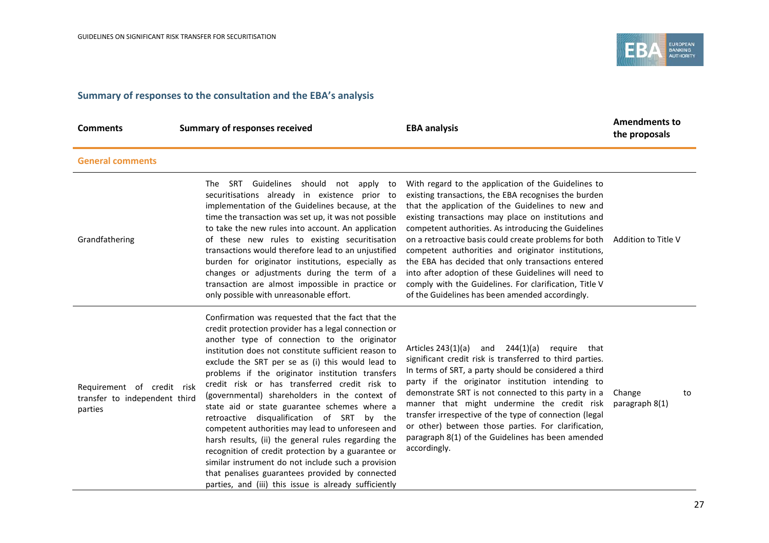

### **Summary of responses to the consultation and the EBA's analysis**

| <b>Comments</b>                                                        | <b>Summary of responses received</b>                                                                                                                                                                                                                                                                                                                                                                                                                                                                                                                                                                                                                                                                                                                                                                                                                         | <b>EBA analysis</b>                                                                                                                                                                                                                                                                                                                                                                                                                                                                                                                                                                                                       | <b>Amendments to</b><br>the proposals |
|------------------------------------------------------------------------|--------------------------------------------------------------------------------------------------------------------------------------------------------------------------------------------------------------------------------------------------------------------------------------------------------------------------------------------------------------------------------------------------------------------------------------------------------------------------------------------------------------------------------------------------------------------------------------------------------------------------------------------------------------------------------------------------------------------------------------------------------------------------------------------------------------------------------------------------------------|---------------------------------------------------------------------------------------------------------------------------------------------------------------------------------------------------------------------------------------------------------------------------------------------------------------------------------------------------------------------------------------------------------------------------------------------------------------------------------------------------------------------------------------------------------------------------------------------------------------------------|---------------------------------------|
| <b>General comments</b>                                                |                                                                                                                                                                                                                                                                                                                                                                                                                                                                                                                                                                                                                                                                                                                                                                                                                                                              |                                                                                                                                                                                                                                                                                                                                                                                                                                                                                                                                                                                                                           |                                       |
| Grandfathering                                                         | The SRT Guidelines should not apply to<br>securitisations already in existence prior to<br>implementation of the Guidelines because, at the<br>time the transaction was set up, it was not possible<br>to take the new rules into account. An application<br>of these new rules to existing securitisation<br>transactions would therefore lead to an unjustified<br>burden for originator institutions, especially as<br>changes or adjustments during the term of a<br>transaction are almost impossible in practice or<br>only possible with unreasonable effort.                                                                                                                                                                                                                                                                                         | With regard to the application of the Guidelines to<br>existing transactions, the EBA recognises the burden<br>that the application of the Guidelines to new and<br>existing transactions may place on institutions and<br>competent authorities. As introducing the Guidelines<br>on a retroactive basis could create problems for both<br>competent authorities and originator institutions,<br>the EBA has decided that only transactions entered<br>into after adoption of these Guidelines will need to<br>comply with the Guidelines. For clarification, Title V<br>of the Guidelines has been amended accordingly. | Addition to Title V                   |
| Requirement of credit risk<br>transfer to independent third<br>parties | Confirmation was requested that the fact that the<br>credit protection provider has a legal connection or<br>another type of connection to the originator<br>institution does not constitute sufficient reason to<br>exclude the SRT per se as (i) this would lead to<br>problems if the originator institution transfers<br>credit risk or has transferred credit risk to<br>(governmental) shareholders in the context of<br>state aid or state guarantee schemes where a<br>retroactive disqualification of SRT by the<br>competent authorities may lead to unforeseen and<br>harsh results, (ii) the general rules regarding the<br>recognition of credit protection by a guarantee or<br>similar instrument do not include such a provision<br>that penalises guarantees provided by connected<br>parties, and (iii) this issue is already sufficiently | and 244(1)(a)<br>require that<br>Articles 243(1)(a)<br>significant credit risk is transferred to third parties.<br>In terms of SRT, a party should be considered a third<br>party if the originator institution intending to<br>demonstrate SRT is not connected to this party in a<br>manner that might undermine the credit risk<br>transfer irrespective of the type of connection (legal<br>or other) between those parties. For clarification,<br>paragraph 8(1) of the Guidelines has been amended<br>accordingly.                                                                                                  | Change<br>to<br>paragraph 8(1)        |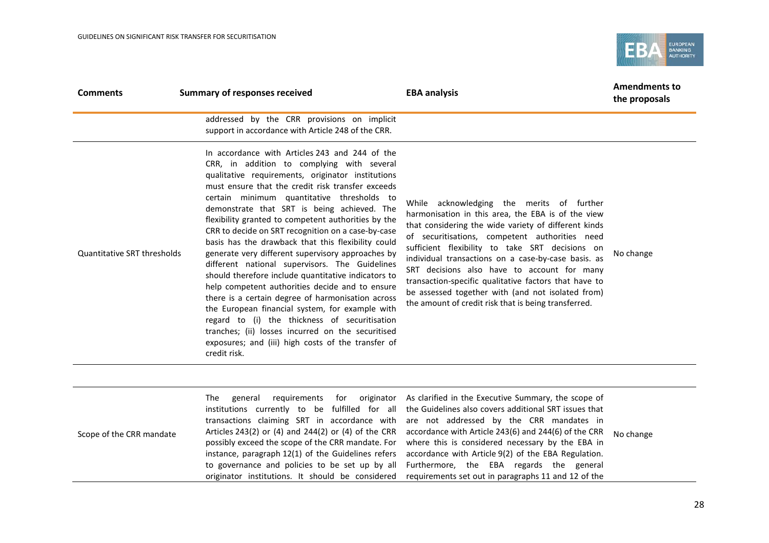

| <b>Comments</b>             | <b>Summary of responses received</b>                                                                                                                                                                                                                                                                                                                                                                                                                                                                                                                                                                                                                                                                                                                                                                                                                                                                                                                                        | <b>EBA analysis</b>                                                                                                                                                                                                                                                                                                                                                                                                                                                                                                                      | <b>Amendments to</b><br>the proposals |
|-----------------------------|-----------------------------------------------------------------------------------------------------------------------------------------------------------------------------------------------------------------------------------------------------------------------------------------------------------------------------------------------------------------------------------------------------------------------------------------------------------------------------------------------------------------------------------------------------------------------------------------------------------------------------------------------------------------------------------------------------------------------------------------------------------------------------------------------------------------------------------------------------------------------------------------------------------------------------------------------------------------------------|------------------------------------------------------------------------------------------------------------------------------------------------------------------------------------------------------------------------------------------------------------------------------------------------------------------------------------------------------------------------------------------------------------------------------------------------------------------------------------------------------------------------------------------|---------------------------------------|
|                             | addressed by the CRR provisions on implicit<br>support in accordance with Article 248 of the CRR.                                                                                                                                                                                                                                                                                                                                                                                                                                                                                                                                                                                                                                                                                                                                                                                                                                                                           |                                                                                                                                                                                                                                                                                                                                                                                                                                                                                                                                          |                                       |
| Quantitative SRT thresholds | In accordance with Articles 243 and 244 of the<br>CRR, in addition to complying with several<br>qualitative requirements, originator institutions<br>must ensure that the credit risk transfer exceeds<br>certain minimum quantitative thresholds to<br>demonstrate that SRT is being achieved. The<br>flexibility granted to competent authorities by the<br>CRR to decide on SRT recognition on a case-by-case<br>basis has the drawback that this flexibility could<br>generate very different supervisory approaches by<br>different national supervisors. The Guidelines<br>should therefore include quantitative indicators to<br>help competent authorities decide and to ensure<br>there is a certain degree of harmonisation across<br>the European financial system, for example with<br>regard to (i) the thickness of securitisation<br>tranches; (ii) losses incurred on the securitised<br>exposures; and (iii) high costs of the transfer of<br>credit risk. | While acknowledging the merits of further<br>harmonisation in this area, the EBA is of the view<br>that considering the wide variety of different kinds<br>of securitisations, competent authorities need<br>sufficient flexibility to take SRT decisions on<br>individual transactions on a case-by-case basis. as<br>SRT decisions also have to account for many<br>transaction-specific qualitative factors that have to<br>be assessed together with (and not isolated from)<br>the amount of credit risk that is being transferred. | No change                             |
| Scope of the CRR mandate    | The<br>general<br>requirements<br>for originator<br>institutions currently to be fulfilled for all<br>transactions claiming SRT in accordance with<br>Articles 243(2) or (4) and 244(2) or (4) of the CRR<br>possibly exceed the scope of the CRR mandate. For<br>instance, paragraph 12(1) of the Guidelines refers<br>to governance and policies to be set up by all<br>originator institutions. It should be considered                                                                                                                                                                                                                                                                                                                                                                                                                                                                                                                                                  | As clarified in the Executive Summary, the scope of<br>the Guidelines also covers additional SRT issues that<br>are not addressed by the CRR mandates in<br>accordance with Article 243(6) and 244(6) of the CRR<br>where this is considered necessary by the EBA in<br>accordance with Article 9(2) of the EBA Regulation.<br>Furthermore, the EBA regards the general<br>requirements set out in paragraphs 11 and 12 of the                                                                                                           | No change                             |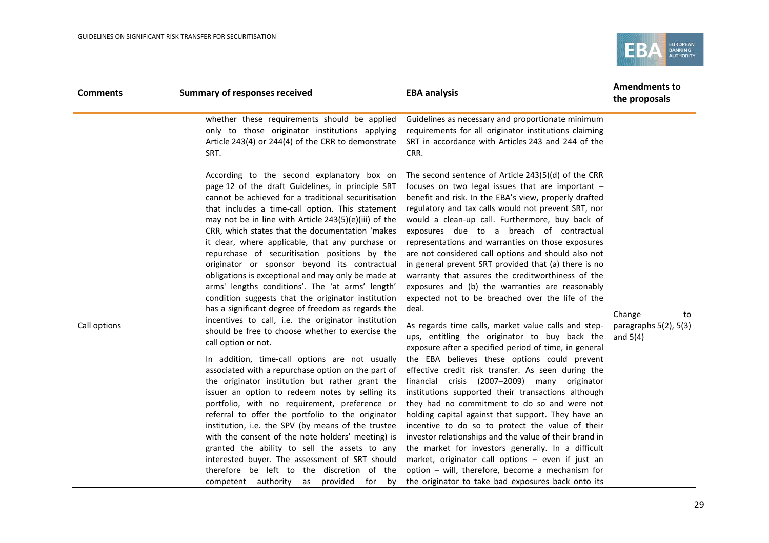

| <b>Comments</b> | <b>Summary of responses received</b>                                                                                                                                                                                                                                                                                                                                                                                                                                                                                                                                                                                                                                                                                                                                                                                                                                                                                                                                                                                                                                                                                                                                                                                                                                                                                                                                                                                                                             | <b>EBA analysis</b>                                                                                                                                                                                                                                                                                                                                                                                                                                                                                                                                                                                                                                                                                                                                                                                                                                                                                                                                                                                                                                                                                                                                                                                                                                                                                                                                                                                                                                                                   | <b>Amendments to</b><br>the proposals                    |
|-----------------|------------------------------------------------------------------------------------------------------------------------------------------------------------------------------------------------------------------------------------------------------------------------------------------------------------------------------------------------------------------------------------------------------------------------------------------------------------------------------------------------------------------------------------------------------------------------------------------------------------------------------------------------------------------------------------------------------------------------------------------------------------------------------------------------------------------------------------------------------------------------------------------------------------------------------------------------------------------------------------------------------------------------------------------------------------------------------------------------------------------------------------------------------------------------------------------------------------------------------------------------------------------------------------------------------------------------------------------------------------------------------------------------------------------------------------------------------------------|---------------------------------------------------------------------------------------------------------------------------------------------------------------------------------------------------------------------------------------------------------------------------------------------------------------------------------------------------------------------------------------------------------------------------------------------------------------------------------------------------------------------------------------------------------------------------------------------------------------------------------------------------------------------------------------------------------------------------------------------------------------------------------------------------------------------------------------------------------------------------------------------------------------------------------------------------------------------------------------------------------------------------------------------------------------------------------------------------------------------------------------------------------------------------------------------------------------------------------------------------------------------------------------------------------------------------------------------------------------------------------------------------------------------------------------------------------------------------------------|----------------------------------------------------------|
|                 | whether these requirements should be applied<br>only to those originator institutions applying<br>Article 243(4) or 244(4) of the CRR to demonstrate<br>SRT.                                                                                                                                                                                                                                                                                                                                                                                                                                                                                                                                                                                                                                                                                                                                                                                                                                                                                                                                                                                                                                                                                                                                                                                                                                                                                                     | Guidelines as necessary and proportionate minimum<br>requirements for all originator institutions claiming<br>SRT in accordance with Articles 243 and 244 of the<br>CRR.                                                                                                                                                                                                                                                                                                                                                                                                                                                                                                                                                                                                                                                                                                                                                                                                                                                                                                                                                                                                                                                                                                                                                                                                                                                                                                              |                                                          |
| Call options    | According to the second explanatory box on<br>page 12 of the draft Guidelines, in principle SRT<br>cannot be achieved for a traditional securitisation<br>that includes a time-call option. This statement<br>may not be in line with Article 243(5)(e)(iii) of the<br>CRR, which states that the documentation 'makes<br>it clear, where applicable, that any purchase or<br>repurchase of securitisation positions by the<br>originator or sponsor beyond its contractual<br>obligations is exceptional and may only be made at<br>arms' lengths conditions'. The 'at arms' length'<br>condition suggests that the originator institution<br>has a significant degree of freedom as regards the<br>incentives to call, i.e. the originator institution<br>should be free to choose whether to exercise the<br>call option or not.<br>In addition, time-call options are not usually<br>associated with a repurchase option on the part of<br>the originator institution but rather grant the<br>issuer an option to redeem notes by selling its<br>portfolio, with no requirement, preference or<br>referral to offer the portfolio to the originator<br>institution, i.e. the SPV (by means of the trustee<br>with the consent of the note holders' meeting) is<br>granted the ability to sell the assets to any<br>interested buyer. The assessment of SRT should<br>therefore be left to the discretion of the<br>competent authority as provided for<br>by | The second sentence of Article 243(5)(d) of the CRR<br>focuses on two legal issues that are important -<br>benefit and risk. In the EBA's view, properly drafted<br>regulatory and tax calls would not prevent SRT, nor<br>would a clean-up call. Furthermore, buy back of<br>exposures due to a breach of contractual<br>representations and warranties on those exposures<br>are not considered call options and should also not<br>in general prevent SRT provided that (a) there is no<br>warranty that assures the creditworthiness of the<br>exposures and (b) the warranties are reasonably<br>expected not to be breached over the life of the<br>deal.<br>As regards time calls, market value calls and step-<br>ups, entitling the originator to buy back the<br>exposure after a specified period of time, in general<br>the EBA believes these options could prevent<br>effective credit risk transfer. As seen during the<br>financial crisis (2007-2009) many originator<br>institutions supported their transactions although<br>they had no commitment to do so and were not<br>holding capital against that support. They have an<br>incentive to do so to protect the value of their<br>investor relationships and the value of their brand in<br>the market for investors generally. In a difficult<br>market, originator call options - even if just an<br>option - will, therefore, become a mechanism for<br>the originator to take bad exposures back onto its | Change<br>to<br>paragraphs $5(2)$ , $5(3)$<br>and $5(4)$ |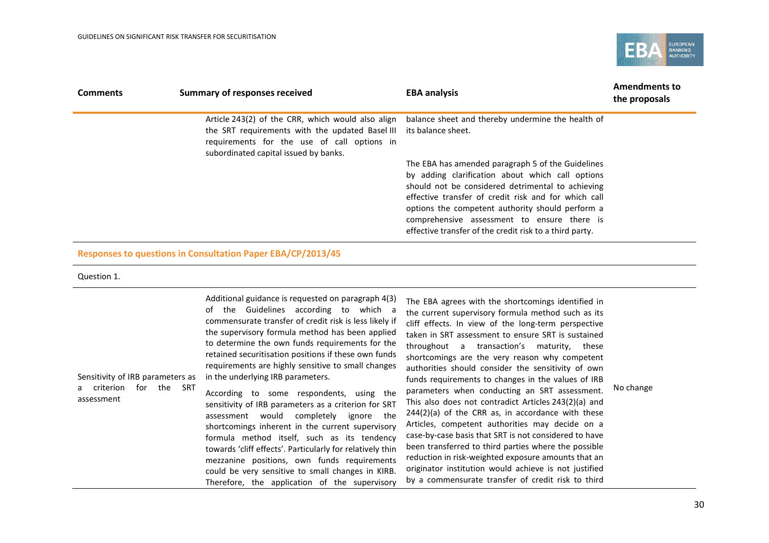

| <b>Comments</b> | <b>Summary of responses received</b>                                                                                                                                                                            | <b>EBA analysis</b>                                                                                                                                                                                                                                                                                                                                                              | <b>Amendments to</b><br>the proposals |
|-----------------|-----------------------------------------------------------------------------------------------------------------------------------------------------------------------------------------------------------------|----------------------------------------------------------------------------------------------------------------------------------------------------------------------------------------------------------------------------------------------------------------------------------------------------------------------------------------------------------------------------------|---------------------------------------|
|                 | Article 243(2) of the CRR, which would also align<br>the SRT requirements with the updated Basel III its balance sheet.<br>requirements for the use of call options in<br>subordinated capital issued by banks. | balance sheet and thereby undermine the health of                                                                                                                                                                                                                                                                                                                                |                                       |
|                 |                                                                                                                                                                                                                 | The EBA has amended paragraph 5 of the Guidelines<br>by adding clarification about which call options<br>should not be considered detrimental to achieving<br>effective transfer of credit risk and for which call<br>options the competent authority should perform a<br>comprehensive assessment to ensure there is<br>effective transfer of the credit risk to a third party. |                                       |

### **Responses to questions in Consultation Paper EBA/CP/2013/45**

#### Question 1.

| Sensitivity of IRB parameters as<br>the<br>criterion<br>SRT<br>for<br>assessment | Additional guidance is requested on paragraph 4(3)<br>of the Guidelines according to which a<br>commensurate transfer of credit risk is less likely if<br>the supervisory formula method has been applied<br>to determine the own funds requirements for the<br>retained securitisation positions if these own funds<br>requirements are highly sensitive to small changes<br>in the underlying IRB parameters.<br>According to some respondents, using the<br>sensitivity of IRB parameters as a criterion for SRT<br>completely<br>assessment would<br>ignore the<br>shortcomings inherent in the current supervisory<br>formula method itself, such as its tendency<br>towards 'cliff effects'. Particularly for relatively thin<br>mezzanine positions, own funds requirements<br>could be very sensitive to small changes in KIRB.<br>Therefore, the application of the supervisory | The EBA agrees with the shortcomings identified in<br>the current supervisory formula method such as its<br>cliff effects. In view of the long-term perspective<br>taken in SRT assessment to ensure SRT is sustained<br>throughout a transaction's maturity, these<br>shortcomings are the very reason why competent<br>authorities should consider the sensitivity of own<br>funds requirements to changes in the values of IRB<br>parameters when conducting an SRT assessment.<br>This also does not contradict Articles 243(2)(a) and<br>$244(2)(a)$ of the CRR as, in accordance with these<br>Articles, competent authorities may decide on a<br>case-by-case basis that SRT is not considered to have<br>been transferred to third parties where the possible<br>reduction in risk-weighted exposure amounts that an<br>originator institution would achieve is not justified<br>by a commensurate transfer of credit risk to third | No change |
|----------------------------------------------------------------------------------|------------------------------------------------------------------------------------------------------------------------------------------------------------------------------------------------------------------------------------------------------------------------------------------------------------------------------------------------------------------------------------------------------------------------------------------------------------------------------------------------------------------------------------------------------------------------------------------------------------------------------------------------------------------------------------------------------------------------------------------------------------------------------------------------------------------------------------------------------------------------------------------|---------------------------------------------------------------------------------------------------------------------------------------------------------------------------------------------------------------------------------------------------------------------------------------------------------------------------------------------------------------------------------------------------------------------------------------------------------------------------------------------------------------------------------------------------------------------------------------------------------------------------------------------------------------------------------------------------------------------------------------------------------------------------------------------------------------------------------------------------------------------------------------------------------------------------------------------|-----------|
|----------------------------------------------------------------------------------|------------------------------------------------------------------------------------------------------------------------------------------------------------------------------------------------------------------------------------------------------------------------------------------------------------------------------------------------------------------------------------------------------------------------------------------------------------------------------------------------------------------------------------------------------------------------------------------------------------------------------------------------------------------------------------------------------------------------------------------------------------------------------------------------------------------------------------------------------------------------------------------|---------------------------------------------------------------------------------------------------------------------------------------------------------------------------------------------------------------------------------------------------------------------------------------------------------------------------------------------------------------------------------------------------------------------------------------------------------------------------------------------------------------------------------------------------------------------------------------------------------------------------------------------------------------------------------------------------------------------------------------------------------------------------------------------------------------------------------------------------------------------------------------------------------------------------------------------|-----------|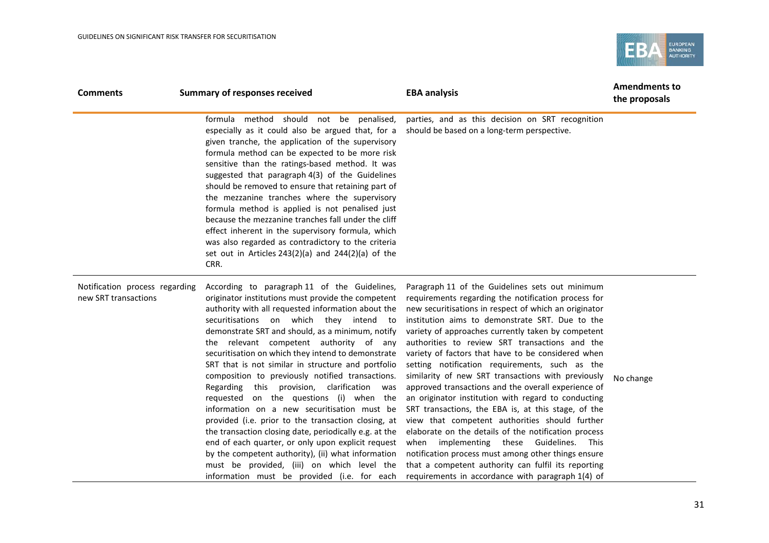

| <b>Comments</b>                                        | <b>Summary of responses received</b>                                                                                                                                                                                                                                                                                                                                                                                                                                                                                                                                                                                                                                                                                                                                                                                                                                                                                                     | <b>EBA analysis</b>                                                                                                                                                                                                                                                                                                                                                                                                                                                                                                                                                                                                                                                                                                                                                                                                                                                                                                                                                                    | <b>Amendments to</b><br>the proposals |
|--------------------------------------------------------|------------------------------------------------------------------------------------------------------------------------------------------------------------------------------------------------------------------------------------------------------------------------------------------------------------------------------------------------------------------------------------------------------------------------------------------------------------------------------------------------------------------------------------------------------------------------------------------------------------------------------------------------------------------------------------------------------------------------------------------------------------------------------------------------------------------------------------------------------------------------------------------------------------------------------------------|----------------------------------------------------------------------------------------------------------------------------------------------------------------------------------------------------------------------------------------------------------------------------------------------------------------------------------------------------------------------------------------------------------------------------------------------------------------------------------------------------------------------------------------------------------------------------------------------------------------------------------------------------------------------------------------------------------------------------------------------------------------------------------------------------------------------------------------------------------------------------------------------------------------------------------------------------------------------------------------|---------------------------------------|
|                                                        | formula method should not be penalised,<br>especially as it could also be argued that, for a<br>given tranche, the application of the supervisory<br>formula method can be expected to be more risk<br>sensitive than the ratings-based method. It was<br>suggested that paragraph 4(3) of the Guidelines<br>should be removed to ensure that retaining part of<br>the mezzanine tranches where the supervisory<br>formula method is applied is not penalised just<br>because the mezzanine tranches fall under the cliff<br>effect inherent in the supervisory formula, which<br>was also regarded as contradictory to the criteria<br>set out in Articles 243(2)(a) and 244(2)(a) of the<br>CRR.                                                                                                                                                                                                                                       | parties, and as this decision on SRT recognition<br>should be based on a long-term perspective.                                                                                                                                                                                                                                                                                                                                                                                                                                                                                                                                                                                                                                                                                                                                                                                                                                                                                        |                                       |
| Notification process regarding<br>new SRT transactions | According to paragraph 11 of the Guidelines,<br>originator institutions must provide the competent<br>authority with all requested information about the<br>securitisations on which they intend to<br>demonstrate SRT and should, as a minimum, notify<br>the relevant competent authority of any<br>securitisation on which they intend to demonstrate<br>SRT that is not similar in structure and portfolio<br>composition to previously notified transactions.<br>Regarding this provision, clarification<br>was<br>requested on the questions (i) when the<br>information on a new securitisation must be<br>provided (i.e. prior to the transaction closing, at<br>the transaction closing date, periodically e.g. at the<br>end of each quarter, or only upon explicit request<br>by the competent authority), (ii) what information<br>must be provided, (iii) on which level the<br>information must be provided (i.e. for each | Paragraph 11 of the Guidelines sets out minimum<br>requirements regarding the notification process for<br>new securitisations in respect of which an originator<br>institution aims to demonstrate SRT. Due to the<br>variety of approaches currently taken by competent<br>authorities to review SRT transactions and the<br>variety of factors that have to be considered when<br>setting notification requirements, such as the<br>similarity of new SRT transactions with previously<br>approved transactions and the overall experience of<br>an originator institution with regard to conducting<br>SRT transactions, the EBA is, at this stage, of the<br>view that competent authorities should further<br>elaborate on the details of the notification process<br>when implementing these Guidelines. This<br>notification process must among other things ensure<br>that a competent authority can fulfil its reporting<br>requirements in accordance with paragraph 1(4) of | No change                             |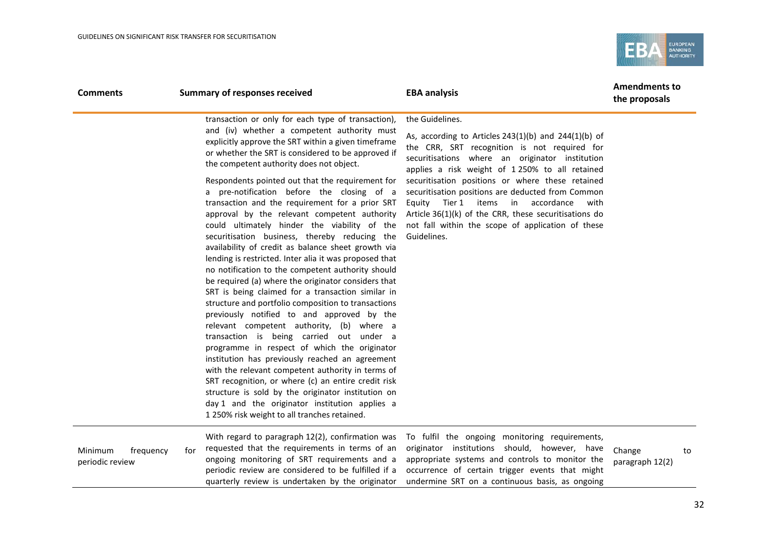

| <b>Comments</b>                         |     | <b>Summary of responses received</b>                                                                                                                                                                                                                                                                                                                                                                                                                                                                                                                                                                                                                                                                                                                                          | <b>EBA analysis</b>                                                                                                                                                                                                                                      | <b>Amendments to</b><br>the proposals |    |
|-----------------------------------------|-----|-------------------------------------------------------------------------------------------------------------------------------------------------------------------------------------------------------------------------------------------------------------------------------------------------------------------------------------------------------------------------------------------------------------------------------------------------------------------------------------------------------------------------------------------------------------------------------------------------------------------------------------------------------------------------------------------------------------------------------------------------------------------------------|----------------------------------------------------------------------------------------------------------------------------------------------------------------------------------------------------------------------------------------------------------|---------------------------------------|----|
|                                         |     | transaction or only for each type of transaction),                                                                                                                                                                                                                                                                                                                                                                                                                                                                                                                                                                                                                                                                                                                            | the Guidelines.                                                                                                                                                                                                                                          |                                       |    |
|                                         |     | and (iv) whether a competent authority must<br>explicitly approve the SRT within a given timeframe<br>or whether the SRT is considered to be approved if<br>the competent authority does not object.                                                                                                                                                                                                                                                                                                                                                                                                                                                                                                                                                                          | As, according to Articles $243(1)(b)$ and $244(1)(b)$ of<br>the CRR, SRT recognition is not required for<br>securitisations where an originator institution<br>applies a risk weight of 1 250% to all retained                                           |                                       |    |
|                                         |     | Respondents pointed out that the requirement for                                                                                                                                                                                                                                                                                                                                                                                                                                                                                                                                                                                                                                                                                                                              | securitisation positions or where these retained                                                                                                                                                                                                         |                                       |    |
|                                         |     | a pre-notification before the closing of a<br>transaction and the requirement for a prior SRT<br>approval by the relevant competent authority<br>could ultimately hinder the viability of the<br>securitisation business, thereby reducing the<br>availability of credit as balance sheet growth via<br>lending is restricted. Inter alia it was proposed that<br>no notification to the competent authority should<br>be required (a) where the originator considers that<br>SRT is being claimed for a transaction similar in<br>structure and portfolio composition to transactions<br>previously notified to and approved by the<br>relevant competent authority, (b) where a<br>transaction is being carried out under a<br>programme in respect of which the originator | securitisation positions are deducted from Common<br>Tier 1 items<br>in<br>accordance<br>with<br>Equity<br>Article 36(1)(k) of the CRR, these securitisations do<br>not fall within the scope of application of these<br>Guidelines.                     |                                       |    |
|                                         |     | institution has previously reached an agreement<br>with the relevant competent authority in terms of<br>SRT recognition, or where (c) an entire credit risk<br>structure is sold by the originator institution on<br>day 1 and the originator institution applies a<br>1 250% risk weight to all tranches retained.                                                                                                                                                                                                                                                                                                                                                                                                                                                           |                                                                                                                                                                                                                                                          |                                       |    |
| Minimum<br>frequency<br>periodic review | for | With regard to paragraph 12(2), confirmation was<br>requested that the requirements in terms of an<br>ongoing monitoring of SRT requirements and a<br>periodic review are considered to be fulfilled if a<br>quarterly review is undertaken by the originator                                                                                                                                                                                                                                                                                                                                                                                                                                                                                                                 | To fulfil the ongoing monitoring requirements,<br>originator institutions should, however, have<br>appropriate systems and controls to monitor the<br>occurrence of certain trigger events that might<br>undermine SRT on a continuous basis, as ongoing | Change<br>paragraph 12(2)             | to |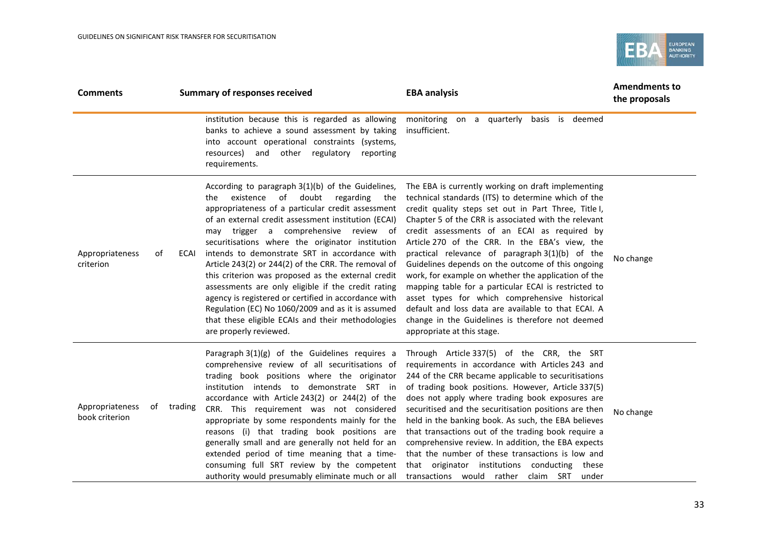

| <b>Comments</b>                   |            | <b>Summary of responses received</b>                                                                                                                                                                                                                                                                                                                                                                                                                                                                                                                                                                                                                                                                                     | <b>EBA analysis</b>                                                                                                                                                                                                                                                                                                                                                                                                                                                                                                                                                                                                                                                                                                                           | <b>Amendments to</b><br>the proposals |
|-----------------------------------|------------|--------------------------------------------------------------------------------------------------------------------------------------------------------------------------------------------------------------------------------------------------------------------------------------------------------------------------------------------------------------------------------------------------------------------------------------------------------------------------------------------------------------------------------------------------------------------------------------------------------------------------------------------------------------------------------------------------------------------------|-----------------------------------------------------------------------------------------------------------------------------------------------------------------------------------------------------------------------------------------------------------------------------------------------------------------------------------------------------------------------------------------------------------------------------------------------------------------------------------------------------------------------------------------------------------------------------------------------------------------------------------------------------------------------------------------------------------------------------------------------|---------------------------------------|
|                                   |            | institution because this is regarded as allowing<br>banks to achieve a sound assessment by taking<br>into account operational constraints (systems,<br>resources) and other regulatory<br>reporting<br>requirements.                                                                                                                                                                                                                                                                                                                                                                                                                                                                                                     | monitoring on a quarterly basis is deemed<br>insufficient.                                                                                                                                                                                                                                                                                                                                                                                                                                                                                                                                                                                                                                                                                    |                                       |
| Appropriateness<br>criterion      | 0f<br>ECAI | According to paragraph 3(1)(b) of the Guidelines,<br>existence of doubt<br>regarding the<br>the<br>appropriateness of a particular credit assessment<br>of an external credit assessment institution (ECAI)<br>may trigger a comprehensive review of<br>securitisations where the originator institution<br>intends to demonstrate SRT in accordance with<br>Article 243(2) or 244(2) of the CRR. The removal of<br>this criterion was proposed as the external credit<br>assessments are only eligible if the credit rating<br>agency is registered or certified in accordance with<br>Regulation (EC) No 1060/2009 and as it is assumed<br>that these eligible ECAIs and their methodologies<br>are properly reviewed. | The EBA is currently working on draft implementing<br>technical standards (ITS) to determine which of the<br>credit quality steps set out in Part Three, Title I,<br>Chapter 5 of the CRR is associated with the relevant<br>credit assessments of an ECAI as required by<br>Article 270 of the CRR. In the EBA's view, the<br>practical relevance of paragraph 3(1)(b) of the<br>Guidelines depends on the outcome of this ongoing<br>work, for example on whether the application of the<br>mapping table for a particular ECAI is restricted to<br>asset types for which comprehensive historical<br>default and loss data are available to that ECAI. A<br>change in the Guidelines is therefore not deemed<br>appropriate at this stage. | No change                             |
| Appropriateness<br>book criterion | of trading | Paragraph $3(1)(g)$ of the Guidelines requires a<br>comprehensive review of all securitisations of<br>trading book positions where the originator<br>institution intends to demonstrate SRT in<br>accordance with Article 243(2) or 244(2) of the<br>CRR. This requirement was not considered<br>appropriate by some respondents mainly for the<br>reasons (i) that trading book positions are<br>generally small and are generally not held for an<br>extended period of time meaning that a time-<br>consuming full SRT review by the competent<br>authority would presumably eliminate much or all                                                                                                                    | Through Article 337(5) of the CRR, the SRT<br>requirements in accordance with Articles 243 and<br>244 of the CRR became applicable to securitisations<br>of trading book positions. However, Article 337(5)<br>does not apply where trading book exposures are<br>securitised and the securitisation positions are then<br>held in the banking book. As such, the EBA believes<br>that transactions out of the trading book require a<br>comprehensive review. In addition, the EBA expects<br>that the number of these transactions is low and<br>that originator institutions conducting these<br>transactions would rather<br>claim SRT under                                                                                              | No change                             |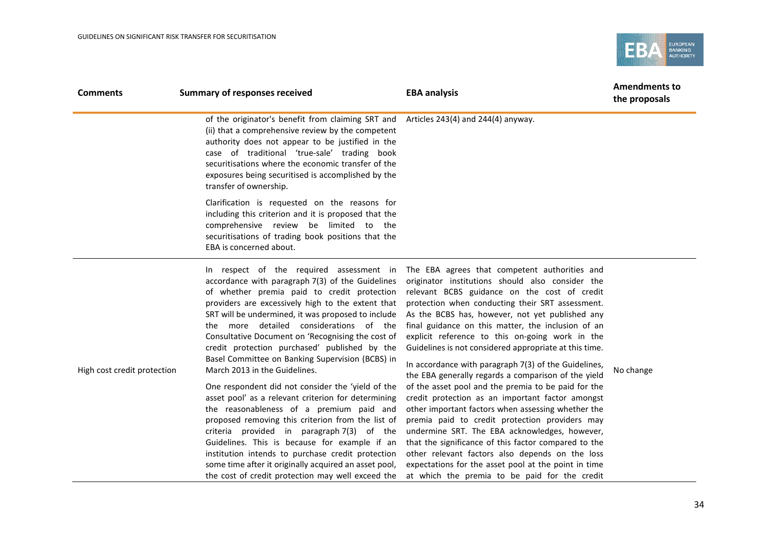

| <b>Comments</b>             | <b>Summary of responses received</b>                                                                                                                                                                                                                                                                                                                                                                                                                                                                                                                                                                                                                                                                                                                                                                                                                                                                                                                                        | <b>EBA analysis</b>                                                                                                                                                                                                                                                                                                                                                                                                                                                                                                                                                                                                                                                                                                                                                                                                                                                                                                                                                                                                                | <b>Amendments to</b><br>the proposals |
|-----------------------------|-----------------------------------------------------------------------------------------------------------------------------------------------------------------------------------------------------------------------------------------------------------------------------------------------------------------------------------------------------------------------------------------------------------------------------------------------------------------------------------------------------------------------------------------------------------------------------------------------------------------------------------------------------------------------------------------------------------------------------------------------------------------------------------------------------------------------------------------------------------------------------------------------------------------------------------------------------------------------------|------------------------------------------------------------------------------------------------------------------------------------------------------------------------------------------------------------------------------------------------------------------------------------------------------------------------------------------------------------------------------------------------------------------------------------------------------------------------------------------------------------------------------------------------------------------------------------------------------------------------------------------------------------------------------------------------------------------------------------------------------------------------------------------------------------------------------------------------------------------------------------------------------------------------------------------------------------------------------------------------------------------------------------|---------------------------------------|
|                             | of the originator's benefit from claiming SRT and<br>(ii) that a comprehensive review by the competent<br>authority does not appear to be justified in the<br>case of traditional 'true-sale' trading book<br>securitisations where the economic transfer of the<br>exposures being securitised is accomplished by the<br>transfer of ownership.                                                                                                                                                                                                                                                                                                                                                                                                                                                                                                                                                                                                                            | Articles 243(4) and 244(4) anyway.                                                                                                                                                                                                                                                                                                                                                                                                                                                                                                                                                                                                                                                                                                                                                                                                                                                                                                                                                                                                 |                                       |
|                             | Clarification is requested on the reasons for<br>including this criterion and it is proposed that the<br>comprehensive review be limited to the<br>securitisations of trading book positions that the<br>EBA is concerned about.                                                                                                                                                                                                                                                                                                                                                                                                                                                                                                                                                                                                                                                                                                                                            |                                                                                                                                                                                                                                                                                                                                                                                                                                                                                                                                                                                                                                                                                                                                                                                                                                                                                                                                                                                                                                    |                                       |
| High cost credit protection | In respect of the required assessment in<br>accordance with paragraph 7(3) of the Guidelines<br>of whether premia paid to credit protection<br>providers are excessively high to the extent that<br>SRT will be undermined, it was proposed to include<br>the more detailed considerations of the<br>Consultative Document on 'Recognising the cost of<br>credit protection purchased' published by the<br>Basel Committee on Banking Supervision (BCBS) in<br>March 2013 in the Guidelines.<br>One respondent did not consider the 'yield of the<br>asset pool' as a relevant criterion for determining<br>the reasonableness of a premium paid and<br>proposed removing this criterion from the list of<br>criteria provided in paragraph 7(3) of the<br>Guidelines. This is because for example if an<br>institution intends to purchase credit protection<br>some time after it originally acquired an asset pool,<br>the cost of credit protection may well exceed the | The EBA agrees that competent authorities and<br>originator institutions should also consider the<br>relevant BCBS guidance on the cost of credit<br>protection when conducting their SRT assessment.<br>As the BCBS has, however, not yet published any<br>final guidance on this matter, the inclusion of an<br>explicit reference to this on-going work in the<br>Guidelines is not considered appropriate at this time.<br>In accordance with paragraph 7(3) of the Guidelines,<br>the EBA generally regards a comparison of the yield<br>of the asset pool and the premia to be paid for the<br>credit protection as an important factor amongst<br>other important factors when assessing whether the<br>premia paid to credit protection providers may<br>undermine SRT. The EBA acknowledges, however,<br>that the significance of this factor compared to the<br>other relevant factors also depends on the loss<br>expectations for the asset pool at the point in time<br>at which the premia to be paid for the credit | No change                             |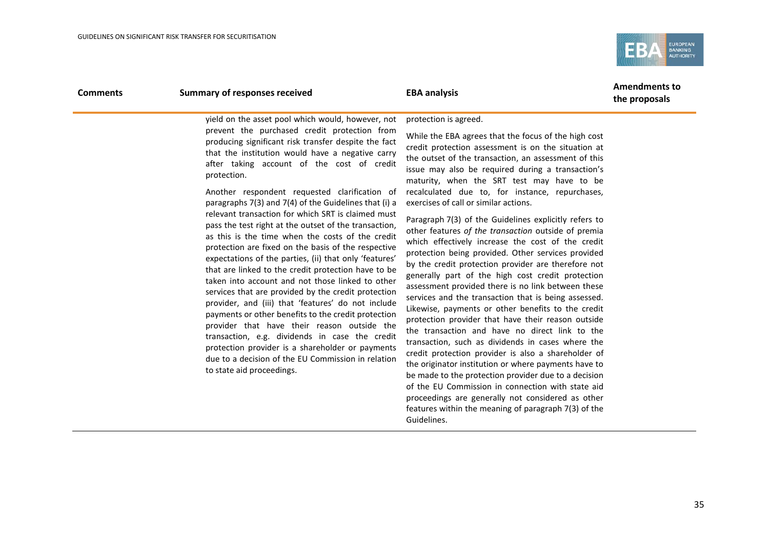

### **Comments Summary of responses received EBA analysis EBA analysis Amendments to**

**the proposals**

yield on the asset pool which would, however, not prevent the purchased credit protection from producing significant risk transfer despite the fact that the institution would have a negative carry after taking account of the cost of credit protection.

Another respondent requested clarification of paragraphs 7(3) and 7(4) of the Guidelines that (i) a relevant transaction for which SRT is claimed must pass the test right at the outset of the transaction, as this is the time when the costs of the credit protection are fixed on the basis of the respective expectations of the parties, (ii) that only 'features' that are linked to the credit protection have to be taken into account and not those linked to other services that are provided by the credit protection provider, and (iii) that 'features' do not include payments or other benefits to the credit protection provider that have their reason outside the transaction, e.g. dividends in case the credit protection provider is a shareholder or payments due to a decision of the EU Commission in relation to state aid proceedings.

#### protection is agreed.

While the EBA agrees that the focus of the high cost credit protection assessment is on the situation at the outset of the transaction, an assessment of this issue may also be required during a transaction's maturity, when the SRT test may have to be recalculated due to, for instance, repurchases, exercises of call or similar actions.

Paragraph 7(3) of the Guidelines explicitly refers to other features *of the transaction* outside of premia which effectively increase the cost of the credit protection being provided. Other services provided by the credit protection provider are therefore not generally part of the high cost credit protection assessment provided there is no link between these services and the transaction that is being assessed. Likewise, payments or other benefits to the credit protection provider that have their reason outside the transaction and have no direct link to the transaction, such as dividends in cases where the credit protection provider is also a shareholder of the originator institution or where payments have to be made to the protection provider due to a decision of the EU Commission in connection with state aid proceedings are generally not considered as other features within the meaning of paragraph 7(3) of the Guidelines.